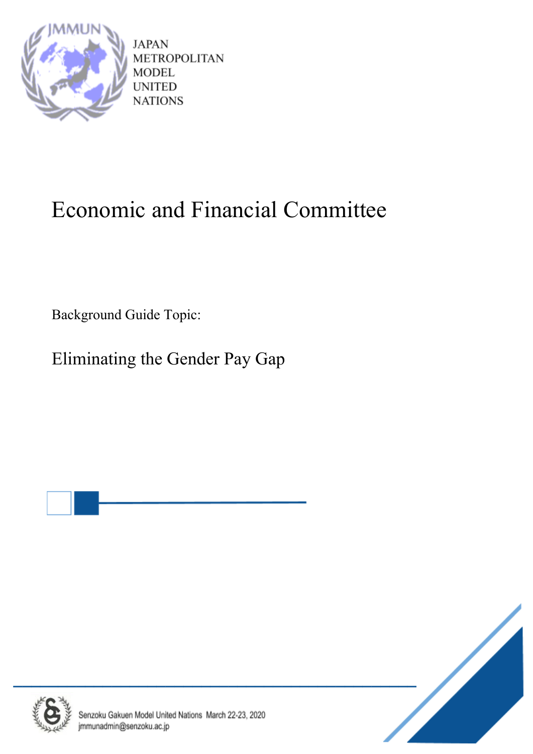

**JAPAN METROPOLITAN MODEL UNITED NATIONS** 

# Economic and Financial Committee

Background Guide Topic:

Eliminating the Gender Pay Gap





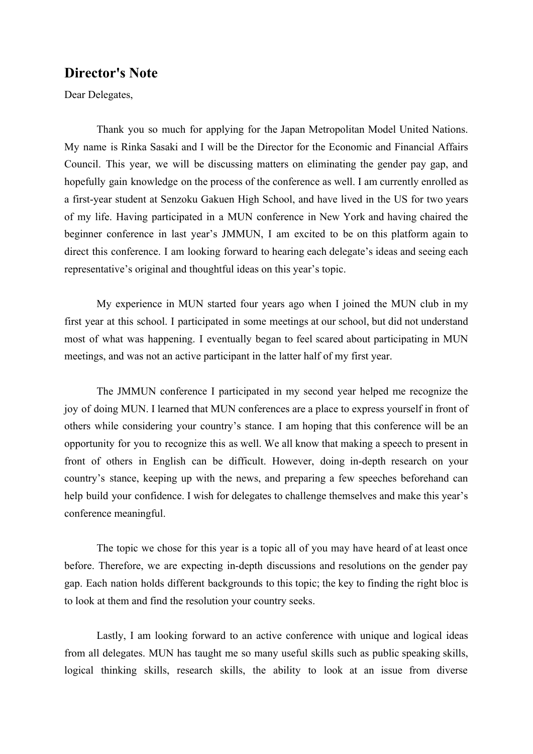# **Director's Note**

Dear Delegates,

Thank you so much for applying for the Japan Metropolitan Model United Nations. My name is Rinka Sasaki and I will be the Director for the Economic and Financial Affairs Council. This year, we will be discussing matters on eliminating the gender pay gap, and hopefully gain knowledge on the process of the conference as well. I am currently enrolled as a first-year student at Senzoku Gakuen High School, and have lived in the US for two years of my life. Having participated in a MUN conference in New York and having chaired the beginner conference in last year's JMMUN, I am excited to be on this platform again to direct this conference. I am looking forward to hearing each delegate's ideas and seeing each representative's original and thoughtful ideas on this year's topic.

My experience in MUN started four years ago when I joined the MUN club in my first year at this school. I participated in some meetings at our school, but did not understand most of what was happening. I eventually began to feel scared about participating in MUN meetings, and was not an active participant in the latter half of my first year.

The JMMUN conference I participated in my second year helped me recognize the joy of doing MUN. I learned that MUN conferences are a place to express yourself in front of others while considering your country's stance. I am hoping that this conference will be an opportunity for you to recognize this as well. We all know that making a speech to present in front of others in English can be difficult. However, doing in-depth research on your country's stance, keeping up with the news, and preparing a few speeches beforehand can help build your confidence. I wish for delegates to challenge themselves and make this year's conference meaningful.

The topic we chose for this year is a topic all of you may have heard of at least once before. Therefore, we are expecting in-depth discussions and resolutions on the gender pay gap. Each nation holds different backgrounds to this topic; the key to finding the right bloc is to look at them and find the resolution your country seeks.

Lastly, I am looking forward to an active conference with unique and logical ideas from all delegates. MUN has taught me so many useful skills such as public speaking skills, logical thinking skills, research skills, the ability to look at an issue from diverse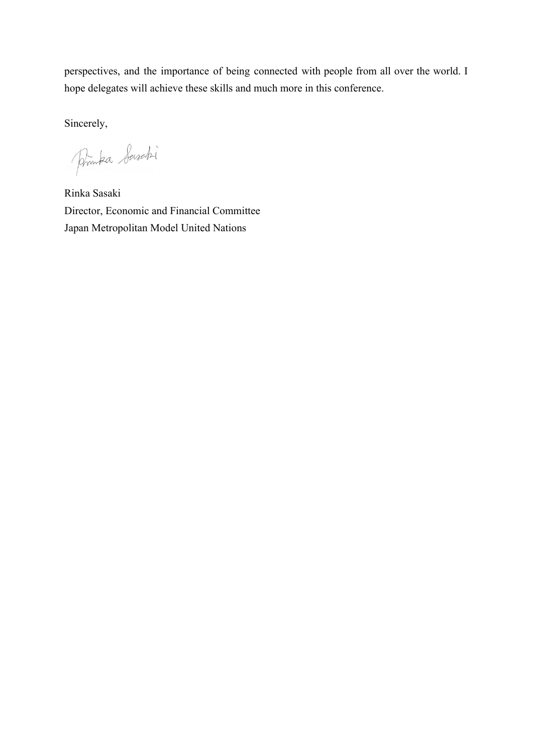perspectives, and the importance of being connected with people from all over the world. I hope delegates will achieve these skills and much more in this conference.

Sincerely,

Printea Seisabi

Rinka Sasaki Director, Economic and Financial Committee Japan Metropolitan Model United Nations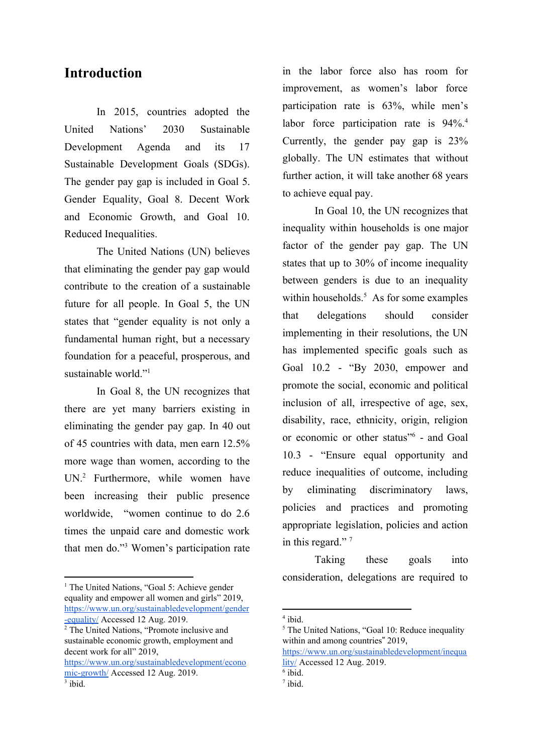# **Introduction**

In 2015, countries adopted the United Nations' 2030 Sustainable Development Agenda and its 17 Sustainable Development Goals (SDGs). The gender pay gap is included in Goal 5. Gender Equality, Goal 8. Decent Work and Economic Growth, and Goal 10. Reduced Inequalities.

The United Nations (UN) believes that eliminating the gender pay gap would contribute to the creation of a sustainable future for all people. In Goal 5, the UN states that "gender equality is not only a fundamental human right, but a necessary foundation for a peaceful, prosperous, and sustainable world."<sup>1</sup>

In Goal 8, the UN recognizes that there are yet many barriers existing in eliminating the gender pay gap. In 40 out of 45 countries with data, men earn 12.5% more wage than women, according to the UN.<sup>2</sup> Furthermore, while women have been increasing their public presence worldwide, "women continue to do 2.6 times the unpaid care and domestic work that men do."<sup>3</sup> Women's participation rate

[https://www.un.org/sustainabledevelopment/econo](https://www.un.org/sustainabledevelopment/economic-growth/) [mic-growth/](https://www.un.org/sustainabledevelopment/economic-growth/) Accessed 12 Aug. 2019.  $3$  ibid.

in the labor force also has room for improvement, as women's labor force participation rate is 63%, while men's labor force participation rate is  $94\%$ <sup>4</sup>. Currently, the gender pay gap is 23% globally. The UN estimates that without further action, it will take another 68 years to achieve equal pay.

In Goal 10, the UN recognizes that inequality within households is one major factor of the gender pay gap. The UN states that up to 30% of income inequality between genders is due to an inequality within households. $<sup>5</sup>$  As for some examples</sup> that delegations should consider implementing in their resolutions, the UN has implemented specific goals such as Goal 10.2 - "By 2030, empower and promote the social, economic and political inclusion of all, irrespective of age, sex, disability, race, ethnicity, origin, religion or economic or other status"<sup>6</sup> - and Goal 10.3 - "Ensure equal opportunity and reduce inequalities of outcome, including by eliminating discriminatory laws, policies and practices and promoting appropriate legislation, policies and action in this regard."<sup>7</sup>

Taking these goals into consideration, delegations are required to

4 ibid.

[https://www.un.org/sustainabledevelopment/inequa](https://www.un.org/sustainabledevelopment/inequality/) [lity/](https://www.un.org/sustainabledevelopment/inequality/) Accessed 12 Aug. 2019.

<sup>&</sup>lt;sup>1</sup> The United Nations, "Goal 5: Achieve gender equality and empower all women and girls" 2019, [https://www.un.org/sustainabledevelopment/gender](https://www.un.org/sustainabledevelopment/gender-equality/) [-equality/](https://www.un.org/sustainabledevelopment/gender-equality/) Accessed 12 Aug. 2019.

<sup>2</sup> The United Nations, "Promote inclusive and sustainable economic growth, employment and decent work for all" 2019,

<sup>&</sup>lt;sup>5</sup> The United Nations, "Goal 10: Reduce inequality within and among countries" 2019,

<sup>6</sup> ibid.

<sup>7</sup> ibid.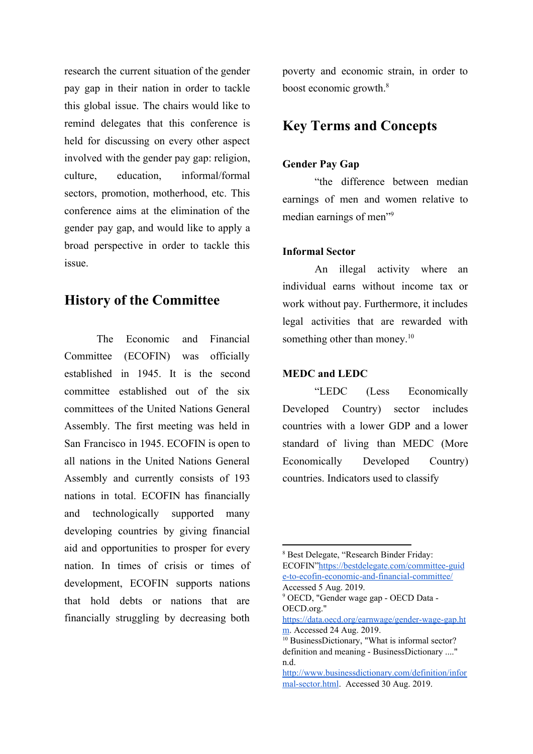research the current situation of the gender pay gap in their nation in order to tackle this global issue. The chairs would like to remind delegates that this conference is held for discussing on every other aspect involved with the gender pay gap: religion, culture, education, informal/formal sectors, promotion, motherhood, etc. This conference aims at the elimination of the gender pay gap, and would like to apply a broad perspective in order to tackle this issue.

# **History of the Committee**

The Economic and Financial Committee (ECOFIN) was officially established in 1945. It is the second committee established out of the six committees of the United Nations General Assembly. The first meeting was held in San Francisco in 1945. ECOFIN is open to all nations in the United Nations General Assembly and currently consists of 193 nations in total. ECOFIN has financially and technologically supported many developing countries by giving financial aid and opportunities to prosper for every nation. In times of crisis or times of development, ECOFIN supports nations that hold debts or nations that are financially struggling by decreasing both

poverty and economic strain, in order to boost economic growth.<sup>8</sup>

# **Key Terms and Concepts**

## **Gender Pay Gap**

"the difference between median earnings of men and women relative to median earnings of men"<sup>9</sup>

## **Informal Sector**

An illegal activity where an individual earns without income tax or work without pay. Furthermore, it includes legal activities that are rewarded with something other than money.<sup>10</sup>

## **MEDC and LEDC**

"LEDC (Less Economically Developed Country) sector includes countries with a lower GDP and a lower standard of living than MEDC (More Economically Developed Country) countries. Indicators used to classify

<sup>8</sup> Best Delegate, "Research Binder Friday: ECOFIN"[https://bestdelegate.com/committee-guid](https://bestdelegate.com/committee-guide-to-ecofin-economic-and-financial-committee/) [e-to-ecofin-economic-and-financial-committee/](https://bestdelegate.com/committee-guide-to-ecofin-economic-and-financial-committee/) Accessed 5 Aug. 2019.

<sup>9</sup> OECD, "Gender wage gap - OECD Data - OECD.org."

[https://data.oecd.org/earnwage/gender-wage-gap.ht](https://data.oecd.org/earnwage/gender-wage-gap.htm) [m.](https://data.oecd.org/earnwage/gender-wage-gap.htm) Accessed 24 Aug. 2019.

<sup>&</sup>lt;sup>10</sup> BusinessDictionary, "What is informal sector? definition and meaning - BusinessDictionary ...." n.d.

[http://www.businessdictionary.com/definition/infor](http://www.businessdictionary.com/definition/informal-sector.html) [mal-sector.html](http://www.businessdictionary.com/definition/informal-sector.html). Accessed 30 Aug. 2019.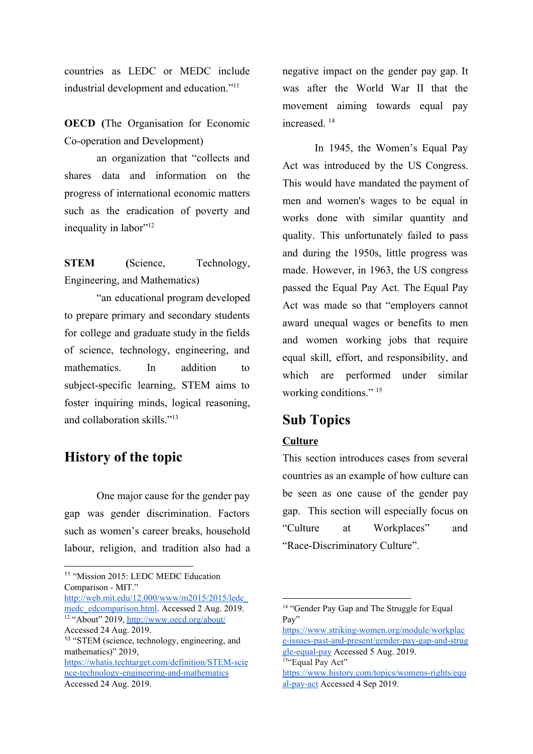countries as LEDC or MEDC include industrial development and education."<sup>11</sup>

**OECD (**The Organisation for Economic Co-operation and Development)

an organization that "collects and shares data and information on the progress of international economic matters such as the eradication of poverty and inequality in labor"<sup>12</sup>

**STEM (**Science, Technology, Engineering, and Mathematics)

"an educational program developed to prepare primary and secondary students for college and graduate study in the fields of science, technology, engineering, and mathematics. In addition to subject-specific learning, STEM aims to foster inquiring minds, logical reasoning, and collaboration skills."<sup>13</sup>

# **History of the topic**

One major cause for the gender pay gap was gender discrimination. Factors such as women's career breaks, household labour, religion, and tradition also had a

[https://whatis.techtarget.com/definition/STEM-scie](https://whatis.techtarget.com/definition/STEM-science-technology-engineering-and-mathematics) [nce-technology-engineering-and-mathematics](https://whatis.techtarget.com/definition/STEM-science-technology-engineering-and-mathematics) Accessed 24 Aug. 2019.

negative impact on the gender pay gap. It was after the World War II that the movement aiming towards equal pay increased. <sup>14</sup>

In 1945, the Women's Equal Pay Act was introduced by the US Congress. This would have mandated the payment of men and women's wages to be equal in works done with similar quantity and quality. This unfortunately failed to pass and during the 1950s, little progress was made. However, in 1963, the US congress passed the Equal Pay Act. The Equal Pay Act was made so that "employers cannot award unequal wages or benefits to men and women working jobs that require equal skill, effort, and responsibility, and which are performed under similar working conditions."<sup>15</sup>

# **Sub Topics**

## **Culture**

This section introduces cases from several countries as an example of how culture can be seen as one cause of the gender pay gap. This section will especially focus on "Culture at Workplaces" and "Race-Discriminatory Culture".

<sup>&</sup>lt;sup>11</sup> "Mission 2015: LEDC MEDC Education Comparison - MIT."

[http://web.mit.edu/12.000/www/m2015/2015/ledc\\_](http://web.mit.edu/12.000/www/m2015/2015/ledc_medc_edcomparison.html) [medc\\_edcomparison.html.](http://web.mit.edu/12.000/www/m2015/2015/ledc_medc_edcomparison.html) Accessed 2 Aug. 2019. <sup>12</sup> "About" 2019, <http://www.oecd.org/about/>

Accessed 24 Aug. 2019.

<sup>13</sup> "STEM (science, technology, engineering, and mathematics)" 2019,

<sup>&</sup>lt;sup>14</sup> "Gender Pay Gap and The Struggle for Equal Pay"

[https://www.striking-women.org/module/workplac](https://www.striking-women.org/module/workplace-issues-past-and-present/gender-pay-gap-and-struggle-equal-pay) [e-issues-past-and-present/gender-pay-gap-and-strug](https://www.striking-women.org/module/workplace-issues-past-and-present/gender-pay-gap-and-struggle-equal-pay) [gle-equal-pay](https://www.striking-women.org/module/workplace-issues-past-and-present/gender-pay-gap-and-struggle-equal-pay) Accessed 5 Aug. 2019. <sup>15"</sup>Equal Pay Act"

[https://www.history.com/topics/womens-rights/equ](https://www.history.com/topics/womens-rights/equal-pay-act) [al-pay-act](https://www.history.com/topics/womens-rights/equal-pay-act) Accessed 4 Sep 2019.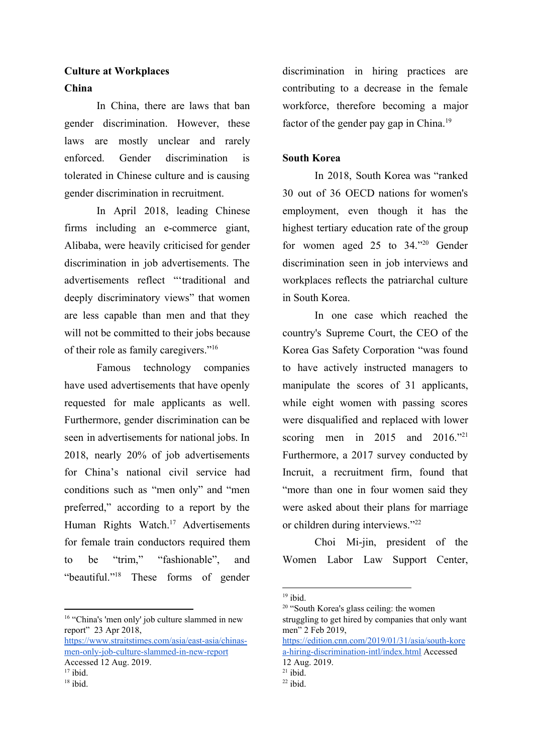# **Culture at Workplaces China**

In China, there are laws that ban gender discrimination. However, these laws are mostly unclear and rarely enforced. Gender discrimination is tolerated in Chinese culture and is causing gender discrimination in recruitment.

In April 2018, leading Chinese firms including an e-commerce giant, Alibaba, were heavily criticised for gender discrimination in job advertisements. The advertisements reflect "'traditional and deeply discriminatory views" that women are less capable than men and that they will not be committed to their jobs because of their role as family caregivers."<sup>16</sup>

Famous technology companies have used advertisements that have openly requested for male applicants as well. Furthermore, gender discrimination can be seen in advertisements for national jobs. In 2018, nearly 20% of job advertisements for China's national civil service had conditions such as "men only" and "men preferred," according to a report by the Human Rights Watch.<sup>17</sup> Advertisements for female train conductors required them to be "trim," "fashionable", and "beautiful." $18$  These forms of gender

<sup>16</sup> "China's 'men only' job culture slammed in new report" 23 Apr 2018,

[https://www.straitstimes.com/asia/east-asia/chinas](https://www.straitstimes.com/asia/east-asia/chinas-men-only-job-culture-slammed-in-new-report)[men-only-job-culture-slammed-in-new-report](https://www.straitstimes.com/asia/east-asia/chinas-men-only-job-culture-slammed-in-new-report) Accessed 12 Aug. 2019.

 $18$  ibid.

discrimination in hiring practices are contributing to a decrease in the female workforce, therefore becoming a major factor of the gender pay gap in China.<sup>19</sup>

## **South Korea**

In 2018, South Korea was "ranked 30 out of 36 OECD nations for women's employment, even though it has the highest tertiary education rate of the group for women aged 25 to  $34.^{\prime\prime\prime}$  Gender discrimination seen in job interviews and workplaces reflects the patriarchal culture in South Korea.

In one case which reached the country's Supreme Court, the CEO of the Korea Gas Safety Corporation "was found to have actively instructed managers to manipulate the scores of 31 applicants, while eight women with passing scores were disqualified and replaced with lower scoring men in 2015 and 2016."21 Furthermore, a 2017 survey conducted by Incruit, a recruitment firm, found that "more than one in four women said they were asked about their plans for marriage or children during interviews."<sup>22</sup>

Choi Mi-jin, president of the Women Labor Law Support Center,

[https://edition.cnn.com/2019/01/31/asia/south-kore](https://edition.cnn.com/2019/01/31/asia/south-korea-hiring-discrimination-intl/index.html) [a-hiring-discrimination-intl/index.html](https://edition.cnn.com/2019/01/31/asia/south-korea-hiring-discrimination-intl/index.html) Accessed

 $17$  ibid.

 $19$  ibid.

<sup>&</sup>lt;sup>20</sup> "South Korea's glass ceiling: the women struggling to get hired by companies that only want men" 2 Feb 2019,

<sup>12</sup> Aug. 2019.

 $21$  ibid.

 $22$  ibid.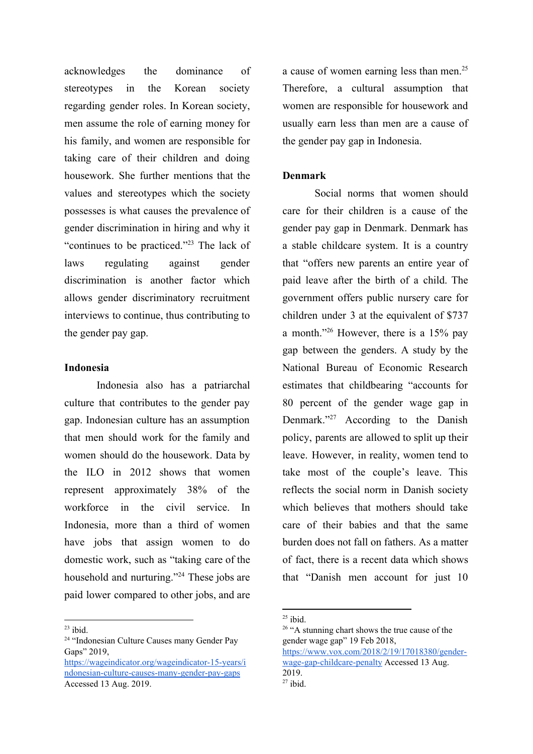acknowledges the dominance of stereotypes in the Korean society regarding gender roles. In Korean society, men assume the role of earning money for his family, and women are responsible for taking care of their children and doing housework. She further mentions that the values and stereotypes which the society possesses is what causes the prevalence of gender discrimination in hiring and why it "continues to be practiced." $^{23}$  The lack of laws regulating against gender discrimination is another factor which allows gender discriminatory recruitment interviews to continue, thus contributing to the gender pay gap.

## **Indonesia**

Indonesia also has a patriarchal culture that contributes to the gender pay gap. Indonesian culture has an assumption that men should work for the family and women should do the housework. Data by the ILO in 2012 shows that women represent approximately 38% of the workforce in the civil service. In Indonesia, more than a third of women have jobs that assign women to do domestic work, such as "taking care of the household and nurturing."<sup>24</sup> These jobs are paid lower compared to other jobs, and are

 $23$  ibid.

a cause of women earning less than men.<sup>25</sup> Therefore, a cultural assumption that women are responsible for housework and usually earn less than men are a cause of the gender pay gap in Indonesia.

## **Denmark**

Social norms that women should care for their children is a cause of the gender pay gap in Denmark. Denmark has a stable childcare system. It is a country that "offers new parents an entire year of paid leave after the birth of a child. The government offers public nursery care for children under 3 at the equivalent of \$737 a month."<sup>26</sup> However, there is a  $15\%$  pay gap between the genders. A study by the National Bureau of Economic Research estimates that childbearing "accounts for 80 percent of the gender wage gap in Denmark." $27$  According to the Danish policy, parents are allowed to split up their leave. However, in reality, women tend to take most of the couple's leave. This reflects the social norm in Danish society which believes that mothers should take care of their babies and that the same burden does not fall on fathers. As a matter of fact, there is a recent data which shows that "Danish men account for just 10

<sup>24</sup> "Indonesian Culture Causes many Gender Pay Gaps" 2019.

[https://wageindicator.org/wageindicator-15-years/i](https://wageindicator.org/wageindicator-15-years/indonesian-culture-causes-many-gender-pay-gaps) [ndonesian-culture-causes-many-gender-pay-gaps](https://wageindicator.org/wageindicator-15-years/indonesian-culture-causes-many-gender-pay-gaps) Accessed 13 Aug. 2019.

 $25$  ibid.

<sup>&</sup>lt;sup>26</sup> "A stunning chart shows the true cause of the gender wage gap" 19 Feb 2018, [https://www.vox.com/2018/2/19/17018380/gender](https://www.vox.com/2018/2/19/17018380/gender-wage-gap-childcare-penalty)[wage-gap-childcare-penalty](https://www.vox.com/2018/2/19/17018380/gender-wage-gap-childcare-penalty) Accessed 13 Aug. 2019.  $27$  ibid.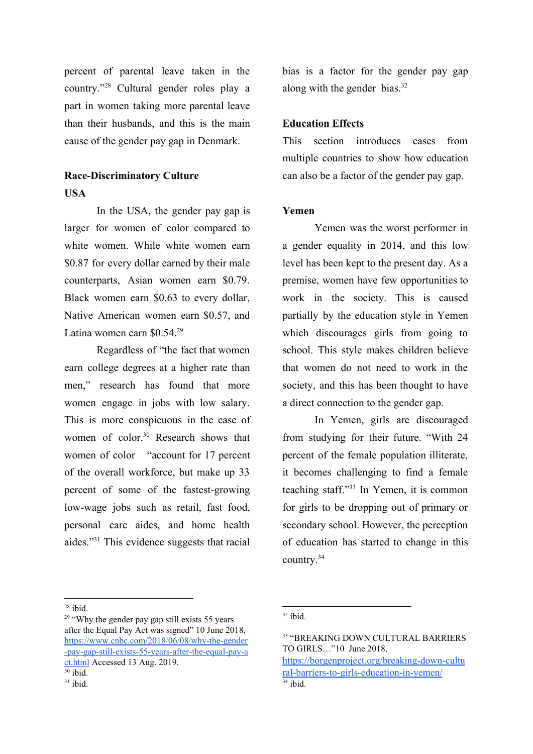percent of parental leave taken in the country."<sup>28</sup> Cultural gender roles play a part in women taking more parental leave than their husbands, and this is the main cause of the gender pay gap in Denmark.

## **Race-Discriminatory Culture USA**

In the USA, the gender pay gap is larger for women of color compared to white women. While white women earn \$0.87 for every dollar earned by their male counterparts, Asian women earn \$0.79. Black women earn \$0.63 to every dollar, Native American women earn \$0.57, and Latina women earn \$0.54.<sup>29</sup>

Regardless of "the fact that women earn college degrees at a higher rate than men," research has found that more women engage in jobs with low salary. This is more conspicuous in the case of women of color.<sup>30</sup> Research shows that women of color "account for 17 percent of the overall workforce, but make up 33 percent of some of the fastest-growing low-wage jobs such as retail, fast food, personal care aides, and home health aides."<sup> $31$ </sup> This evidence suggests that racial

bias is a factor for the gender pay gap along with the gender bias. $32$ 

## **Education Effects**

This section introduces cases from multiple countries to show how education can also be a factor of the gender pay gap.

## **Yemen**

Yemen was the worst performer in a gender equality in 2014, and this low level has been kept to the present day. As a premise, women have few opportunities to work in the society. This is caused partially by the education style in Yemen which discourages girls from going to school. This style makes children believe that women do not need to work in the society, and this has been thought to have a direct connection to the gender gap.

In Yemen, girls are discouraged from studying for their future. "With 24 percent of the female population illiterate, it becomes challenging to find a female teaching staff." $33$  In Yemen, it is common for girls to be dropping out of primary or secondary school. However, the perception of education has started to change in this country.<sup>34</sup>

 $28$  ibid.

 $29$  "Why the gender pay gap still exists 55 years after the Equal Pay Act was signed" 10 June 2018, [https://www.cnbc.com/2018/06/08/why-the-gender](https://www.cnbc.com/2018/06/08/why-the-gender-pay-gap-still-exists-55-years-after-the-equal-pay-act.html) [-pay-gap-still-exists-55-years-after-the-equal-pay-a](https://www.cnbc.com/2018/06/08/why-the-gender-pay-gap-still-exists-55-years-after-the-equal-pay-act.html) [ct.html](https://www.cnbc.com/2018/06/08/why-the-gender-pay-gap-still-exists-55-years-after-the-equal-pay-act.html) Accessed 13 Aug. 2019.

 $30$  ibid.  $31$  ibid.

 $32$  ibid.

<sup>33</sup> "BREAKING DOWN CULTURAL BARRIERS TO GIRLS…"10 June 2018, [https://borgenproject.org/breaking-down-cultu](https://borgenproject.org/breaking-down-cultural-barriers-to-girls-education-in-yemen/)

[ral-barriers-to-girls-education-in-yemen/](https://borgenproject.org/breaking-down-cultural-barriers-to-girls-education-in-yemen/)  $34$  ibid.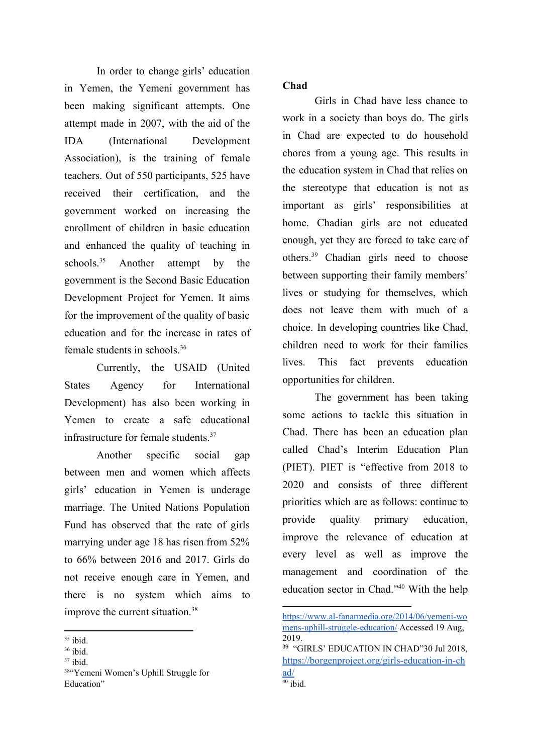In order to change girls' education in Yemen, the Yemeni government has been making significant attempts. One attempt made in 2007, with the aid of the IDA (International Development Association), is the training of female teachers. Out of 550 participants, 525 have received their certification, and the government worked on increasing the enrollment of children in basic education and enhanced the quality of teaching in schools. $35$  Another attempt by the government is the Second Basic Education Development Project for Yemen. It aims for the improvement of the quality of basic education and for the increase in rates of female students in schools.<sup>36</sup>

Currently, the USAID (United States Agency for International Development) has also been working in Yemen to create a safe educational infrastructure for female students.<sup>37</sup>

Another specific social gap between men and women which affects girls' education in Yemen is underage marriage. The United Nations Population Fund has observed that the rate of girls marrying under age 18 has risen from 52% to 66% between 2016 and 2017. Girls do not receive enough care in Yemen, and there is no system which aims to improve the current situation.<sup>38</sup>

## **Chad**

Girls in Chad have less chance to work in a society than boys do. The girls in Chad are expected to do household chores from a young age. This results in the education system in Chad that relies on the stereotype that education is not as important as girls' responsibilities at home. Chadian girls are not educated enough, yet they are forced to take care of others.<sup>39</sup> Chadian girls need to choose between supporting their family members' lives or studying for themselves, which does not leave them with much of a choice. In developing countries like Chad, children need to work for their families lives. This fact prevents education opportunities for children.

The government has been taking some actions to tackle this situation in Chad. There has been an education plan called Chad's Interim Education Plan (PIET). PIET is "effective from 2018 to 2020 and consists of three different priorities which are as follows: continue to provide quality primary education, improve the relevance of education at every level as well as improve the management and coordination of the education sector in Chad." $40$  With the help

 $35$  ibid.

<sup>36</sup> ibid.

 $37$  ibid.

<sup>38</sup>"Yemeni Women's Uphill Struggle for Education"

[https://www.al-fanarmedia.org/2014/06/yemeni-wo](https://www.al-fanarmedia.org/2014/06/yemeni-womens-uphill-struggle-education/) [mens-uphill-struggle-education/](https://www.al-fanarmedia.org/2014/06/yemeni-womens-uphill-struggle-education/) Accessed 19 Aug, 2019.

<sup>&</sup>lt;sup>39</sup> "GIRLS' EDUCATION IN CHAD"30 Jul 2018, [https://borgenproject.org/girls-education-in-ch](https://borgenproject.org/girls-education-in-chad/) [ad/](https://borgenproject.org/girls-education-in-chad/)  $40$  ibid.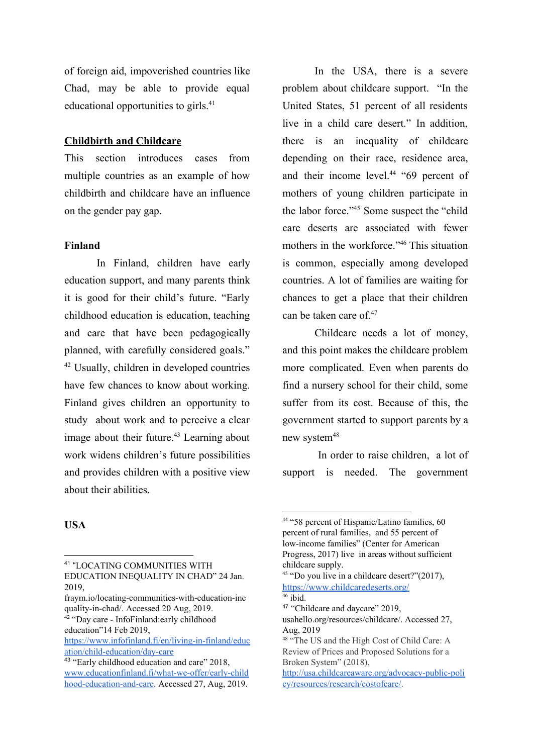of foreign aid, impoverished countries like Chad, may be able to provide equal educational opportunities to girls.<sup>41</sup>

## **Childbirth and Childcare**

This section introduces cases from multiple countries as an example of how childbirth and childcare have an influence on the gender pay gap.

## **Finland**

In Finland, children have early education support, and many parents think it is good for their child's future. "Early childhood education is education, teaching and care that have been pedagogically planned, with carefully considered goals."  $42$  Usually, children in developed countries have few chances to know about working. Finland gives children an opportunity to study about work and to perceive a clear image about their future. $43$  Learning about work widens children's future possibilities and provides children with a positive view about their abilities.

In the USA, there is a severe problem about childcare support. "In the United States, 51 percent of all residents live in a child care desert." In addition, there is an inequality of childcare depending on their race, residence area, and their income level. $44$  "69 percent of mothers of young children participate in the labor force."<sup>45</sup> Some suspect the "child" care deserts are associated with fewer mothers in the workforce."<sup>46</sup> This situation is common, especially among developed countries. A lot of families are waiting for chances to get a place that their children can be taken care of.<sup>47</sup>

Childcare needs a lot of money, and this point makes the childcare problem more complicated. Even when parents do find a nursery school for their child, some suffer from its cost. Because of this, the government started to support parents by a new system<sup>48</sup>

In order to raise children, a lot of support is needed. The government

#### **USA**

<sup>42</sup> "Day care - InfoFinland:early childhood education"14 Feb 2019,

<sup>41</sup> "LOCATING COMMUNITIES WITH EDUCATION INEQUALITY IN CHAD" 24 Jan. 2019,

fraym.io/locating-communities-with-education-ine quality-in-chad/. Accessed 20 Aug, 2019.

[https://www.infofinland.fi/en/living-in-finland/educ](https://www.infofinland.fi/en/living-in-finland/education/child-education/day-care) [ation/child-education/day-care](https://www.infofinland.fi/en/living-in-finland/education/child-education/day-care)

<sup>43</sup> "Early childhood education and care" 2018, [www.educationfinland.fi/what-we-offer/early-child](http://www.educationfinland.fi/what-we-offer/early-childhood-education-and-care) [hood-education-and-care](http://www.educationfinland.fi/what-we-offer/early-childhood-education-and-care). Accessed 27, Aug, 2019.

<sup>44</sup> "58 percent of Hispanic/Latino families, 60 percent of rural families, and 55 percent of low-income families" (Center for American Progress, 2017) live in areas without sufficient childcare supply.

 $45$  "Do you live in a childcare desert?" $(2017)$ , <https://www.childcaredeserts.org/>

 $46$  ibid.

<sup>47</sup> "Childcare and daycare" 2019,

usahello.org/resources/childcare/. Accessed 27, Aug, 2019

<sup>48</sup> "The US and the High Cost of Child Care: A Review of Prices and Proposed Solutions for a Broken System" (2018),

[http://usa.childcareaware.org/advocacy-public-poli](http://usa.childcareaware.org/advocacy-public-policy/resources/research/costofcare/) [cy/resources/research/costofcare/.](http://usa.childcareaware.org/advocacy-public-policy/resources/research/costofcare/)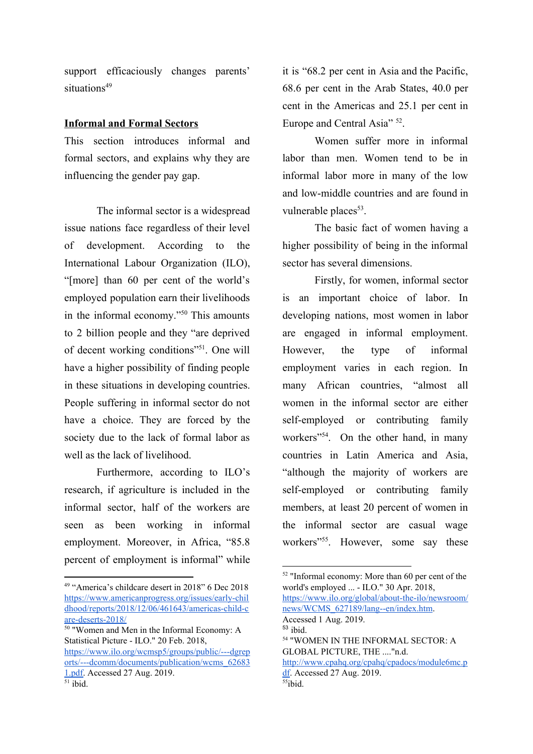support efficaciously changes parents' situations<sup>49</sup>

#### **Informal and Formal Sectors**

This section introduces informal and formal sectors, and explains why they are influencing the gender pay gap.

The informal sector is a widespread issue nations face regardless of their level of development. According to the International Labour Organization (ILO), "[more] than 60 per cent of the world's employed population earn their livelihoods in the informal economy." $50$  This amounts to 2 billion people and they "are deprived of decent working conditions"<sup>51</sup>. One will have a higher possibility of finding people in these situations in developing countries. People suffering in informal sector do not have a choice. They are forced by the society due to the lack of formal labor as well as the lack of livelihood.

Furthermore, according to ILO's research, if agriculture is included in the informal sector, half of the workers are seen as been working in informal employment. Moreover, in Africa, "85.8 percent of employment is informal" while it is "68.2 per cent in Asia and the Pacific, 68.6 per cent in the Arab States, 40.0 per cent in the Americas and 25.1 per cent in Europe and Central Asia"  $52$ .

Women suffer more in informal labor than men. Women tend to be in informal labor more in many of the low and low-middle countries and are found in vulnerable places<sup>53</sup>.

The basic fact of women having a higher possibility of being in the informal sector has several dimensions.

Firstly, for women, informal sector is an important choice of labor. In developing nations, most women in labor are engaged in informal employment. However, the type of informal employment varies in each region. In many African countries, "almost all women in the informal sector are either self-employed or contributing family workers"<sup> $54$ </sup>. On the other hand, in many countries in Latin America and Asia, "although the majority of workers are self-employed or contributing family members, at least 20 percent of women in the informal sector are casual wage workers"<sup>55</sup>. However, some say these

 $55$ ibid.

<sup>49</sup> "America's childcare desert in 2018" 6 Dec 2018 [https://www.americanprogress.org/issues/early-chil](https://www.americanprogress.org/issues/early-childhood/reports/2018/12/06/461643/americas-child-care-deserts-2018/) [dhood/reports/2018/12/06/461643/americas-child-c](https://www.americanprogress.org/issues/early-childhood/reports/2018/12/06/461643/americas-child-care-deserts-2018/) [are-deserts-2018/](https://www.americanprogress.org/issues/early-childhood/reports/2018/12/06/461643/americas-child-care-deserts-2018/)

 $50$  "Women and Men in the Informal Economy: A Statistical Picture - ILO." 20 Feb. 2018, [https://www.ilo.org/wcmsp5/groups/public/---dgrep](https://www.ilo.org/wcmsp5/groups/public/---dgreports/---dcomm/documents/publication/wcms_626831.pdf) [orts/---dcomm/documents/publication/wcms\\_62683](https://www.ilo.org/wcmsp5/groups/public/---dgreports/---dcomm/documents/publication/wcms_626831.pdf) [1.pdf.](https://www.ilo.org/wcmsp5/groups/public/---dgreports/---dcomm/documents/publication/wcms_626831.pdf) Accessed 27 Aug. 2019.

<sup>52</sup> "Informal economy: More than 60 per cent of the world's employed ... - ILO." 30 Apr. 2018, [https://www.ilo.org/global/about-the-ilo/newsroom/](https://www.ilo.org/global/about-the-ilo/newsroom/news/WCMS_627189/lang--en/index.htm)

[news/WCMS\\_627189/lang--en/index.htm](https://www.ilo.org/global/about-the-ilo/newsroom/news/WCMS_627189/lang--en/index.htm). Accessed 1 Aug. 2019.

<sup>53</sup> ibid.

<sup>54</sup> "WOMEN IN THE INFORMAL SECTOR: A GLOBAL PICTURE, THE ...."n.d. [http://www.cpahq.org/cpahq/cpadocs/module6mc.p](http://www.cpahq.org/cpahq/cpadocs/module6mc.pdf) [df](http://www.cpahq.org/cpahq/cpadocs/module6mc.pdf). Accessed 27 Aug. 2019.

 $\overline{51}$  ibid.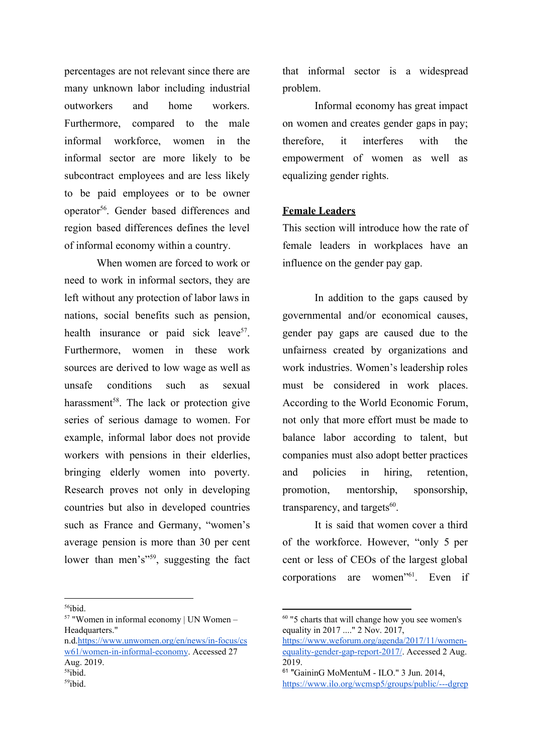percentages are not relevant since there are many unknown labor including industrial outworkers and home workers. Furthermore, compared to the male informal workforce, women in the informal sector are more likely to be subcontract employees and are less likely to be paid employees or to be owner operator<sup>56</sup>. Gender based differences and region based differences defines the level of informal economy within a country.

When women are forced to work or need to work in informal sectors, they are left without any protection of labor laws in nations, social benefits such as pension, health insurance or paid sick leave<sup>57</sup>. Furthermore, women in these work sources are derived to low wage as well as unsafe conditions such as sexual harassment<sup>58</sup>. The lack or protection give series of serious damage to women. For example, informal labor does not provide workers with pensions in their elderlies, bringing elderly women into poverty. Research proves not only in developing countries but also in developed countries such as France and Germany, "women's average pension is more than 30 per cent lower than men's"<sup>59</sup>, suggesting the fact

<sup>56</sup>ibid.

<sup>57</sup> "Women in informal economy | UN Women – Headquarters."

n.d[.https://www.unwomen.org/en/news/in-focus/cs](https://www.unwomen.org/en/news/in-focus/csw61/women-in-informal-economy) [w61/women-in-informal-economy](https://www.unwomen.org/en/news/in-focus/csw61/women-in-informal-economy). Accessed 27 Aug. 2019. <sup>58</sup>ibid.  $59$ ibid.

that informal sector is a widespread problem.

Informal economy has great impact on women and creates gender gaps in pay; therefore, it interferes with the empowerment of women as well as equalizing gender rights.

#### **Female Leaders**

This section will introduce how the rate of female leaders in workplaces have an influence on the gender pay gap.

In addition to the gaps caused by governmental and/or economical causes, gender pay gaps are caused due to the unfairness created by organizations and work industries. Women's leadership roles must be considered in work places. According to the World Economic Forum, not only that more effort must be made to balance labor according to talent, but companies must also adopt better practices and policies in hiring, retention, promotion, mentorship, sponsorship, transparency, and targets $60$ .

It is said that women cover a third of the workforce. However, "only 5 per cent or less of CEOs of the largest global corporations are women"<sup>61</sup>. Even if

<sup>60</sup> "5 charts that will change how you see women's equality in 2017 ...." 2 Nov. 2017,

[https://www.weforum.org/agenda/2017/11/women](https://www.weforum.org/agenda/2017/11/women-equality-gender-gap-report-2017/)[equality-gender-gap-report-2017/.](https://www.weforum.org/agenda/2017/11/women-equality-gender-gap-report-2017/) Accessed 2 Aug. 2019.

<sup>61</sup> "GaininG MoMentuM - ILO." 3 Jun. 2014, [https://www.ilo.org/wcmsp5/groups/public/---dgrep](https://www.ilo.org/wcmsp5/groups/public/---dgreports/---dcomm/---publ/documents/publication/wcms_334882.pdf)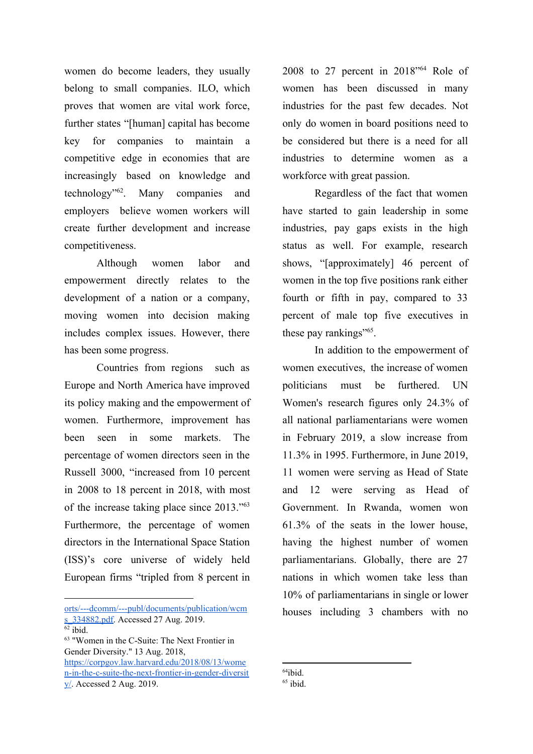women do become leaders, they usually belong to small companies. ILO, which proves that women are vital work force, further states "[human] capital has become key for companies to maintain a competitive edge in economies that are increasingly based on knowledge and technology" $62$ . Many companies and employers believe women workers will create further development and increase competitiveness.

Although women labor and empowerment directly relates to the development of a nation or a company, moving women into decision making includes complex issues. However, there has been some progress.

Countries from regions such as Europe and North America have improved its policy making and the empowerment of women. Furthermore, improvement has been seen in some markets. The percentage of women directors seen in the Russell 3000, "increased from 10 percent in 2008 to 18 percent in 2018, with most of the increase taking place since 2013."<sup>63</sup> Furthermore, the percentage of women directors in the International Space Station (ISS)'s core universe of widely held European firms "tripled from 8 percent in

[orts/---dcomm/---publ/documents/publication/wcm](https://www.ilo.org/wcmsp5/groups/public/---dgreports/---dcomm/---publ/documents/publication/wcms_334882.pdf) s 334882.pdf. Accessed 27 Aug. 2019.

<sup>63</sup> "Women in the C-Suite: The Next Frontier in Gender Diversity." 13 Aug. 2018, [https://corpgov.law.harvard.edu/2018/08/13/wome](https://corpgov.law.harvard.edu/2018/08/13/women-in-the-c-suite-the-next-frontier-in-gender-diversity/) [n-in-the-c-suite-the-next-frontier-in-gender-diversit](https://corpgov.law.harvard.edu/2018/08/13/women-in-the-c-suite-the-next-frontier-in-gender-diversity/) [y/.](https://corpgov.law.harvard.edu/2018/08/13/women-in-the-c-suite-the-next-frontier-in-gender-diversity/) Accessed 2 Aug. 2019.

2008 to 27 percent in  $2018^{\prime\prime}$  Role of women has been discussed in many industries for the past few decades. Not only do women in board positions need to be considered but there is a need for all industries to determine women as a workforce with great passion.

Regardless of the fact that women have started to gain leadership in some industries, pay gaps exists in the high status as well. For example, research shows, "[approximately] 46 percent of women in the top five positions rank either fourth or fifth in pay, compared to 33 percent of male top five executives in these pay rankings"<sup>65</sup>.

In addition to the empowerment of women executives, the increase of women politicians must be furthered. UN Women's research figures only 24.3% of all national parliamentarians were women in February 2019, a slow increase from 11.3% in 1995. Furthermore, in June 2019, 11 women were serving as Head of State and 12 were serving as Head of Government. In Rwanda, women won 61.3% of the seats in the lower house, having the highest number of women parliamentarians. Globally, there are 27 nations in which women take less than 10% of parliamentarians in single or lower houses including 3 chambers with no

 $64$ ibid.

 $62$  ibid.

 $65$  ibid.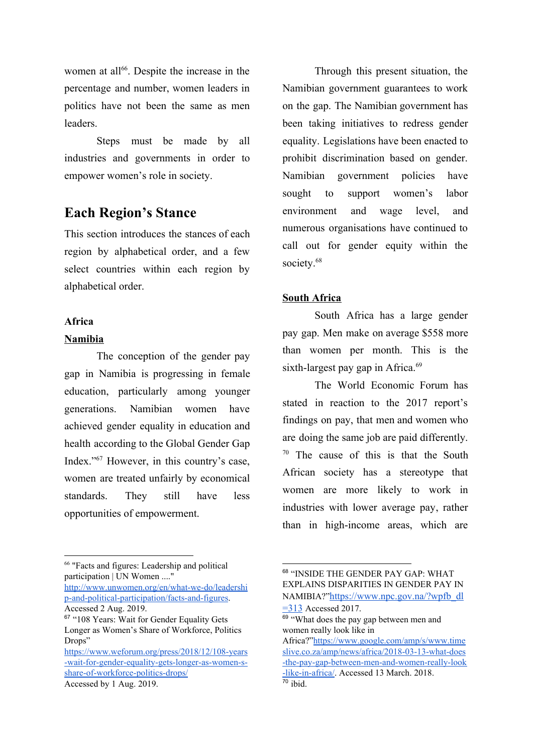women at all<sup> $66$ </sup>. Despite the increase in the percentage and number, women leaders in politics have not been the same as men leaders.

Steps must be made by all industries and governments in order to empower women's role in society.

# **Each Region's Stance**

This section introduces the stances of each region by alphabetical order, and a few select countries within each region by alphabetical order.

## **Africa**

#### **Namibia**

The conception of the gender pay gap in Namibia is progressing in female education, particularly among younger generations. Namibian women have achieved gender equality in education and health according to the Global Gender Gap Index."<sup>67</sup> However, in this country's case, women are treated unfairly by economical standards. They still have less opportunities of empowerment.

<sup>66</sup> "Facts and figures: Leadership and political participation | UN Women ...."

[http://www.unwomen.org/en/what-we-do/leadershi](http://www.unwomen.org/en/what-we-do/leadership-and-political-participation/facts-and-figures) [p-and-political-participation/facts-and-figures](http://www.unwomen.org/en/what-we-do/leadership-and-political-participation/facts-and-figures). Accessed 2 Aug. 2019.

Through this present situation, the Namibian government guarantees to work on the gap. The Namibian government has been taking initiatives to redress gender equality. Legislations have been enacted to prohibit discrimination based on gender. Namibian government policies have sought to support women's labor environment and wage level, and numerous organisations have continued to call out for gender equity within the society.<sup>68</sup>

## **South Africa**

South Africa has a large gender pay gap. Men make on average \$558 more than women per month. This is the sixth-largest pay gap in Africa. $69$ 

The World Economic Forum has stated in reaction to the 2017 report's findings on pay, that men and women who are doing the same job are paid differently.  $70$  The cause of this is that the South African society has a stereotype that women are more likely to work in industries with lower average pay, rather than in high-income areas, which are

<sup>&</sup>lt;sup>67</sup> "108 Years: Wait for Gender Equality Gets Longer as Women's Share of Workforce, Politics Drops"

[https://www.weforum.org/press/2018/12/108-years](https://www.weforum.org/press/2018/12/108-years-wait-for-gender-equality-gets-longer-as-women-s-share-of-workforce-politics-drops/) [-wait-for-gender-equality-gets-longer-as-women-s](https://www.weforum.org/press/2018/12/108-years-wait-for-gender-equality-gets-longer-as-women-s-share-of-workforce-politics-drops/)[share-of-workforce-politics-drops/](https://www.weforum.org/press/2018/12/108-years-wait-for-gender-equality-gets-longer-as-women-s-share-of-workforce-politics-drops/) Accessed by 1 Aug. 2019.

<sup>68</sup> "INSIDE THE GENDER PAY GAP: WHAT EXPLAINS DISPARITIES IN GENDER PAY IN NAMIBIA?"[https://www.npc.gov.na/?wpfb\\_dl](https://www.npc.gov.na/?wpfb_dl=313)  $\equiv$  313 Accessed 2017.

<sup>&</sup>lt;sup>69</sup> "What does the pay gap between men and women really look like in

Africa?"[https://www.google.com/amp/s/www.time](https://www.google.com/amp/s/www.timeslive.co.za/amp/news/africa/2018-03-13-what-does-the-pay-gap-between-men-and-women-really-look-like-in-africa/) [slive.co.za/amp/news/africa/2018-03-13-what-does](https://www.google.com/amp/s/www.timeslive.co.za/amp/news/africa/2018-03-13-what-does-the-pay-gap-between-men-and-women-really-look-like-in-africa/) [-the-pay-gap-between-men-and-women-really-look](https://www.google.com/amp/s/www.timeslive.co.za/amp/news/africa/2018-03-13-what-does-the-pay-gap-between-men-and-women-really-look-like-in-africa/) [-like-in-africa/.](https://www.google.com/amp/s/www.timeslive.co.za/amp/news/africa/2018-03-13-what-does-the-pay-gap-between-men-and-women-really-look-like-in-africa/) Accessed 13 March. 2018.  $\overline{70}$  ibid.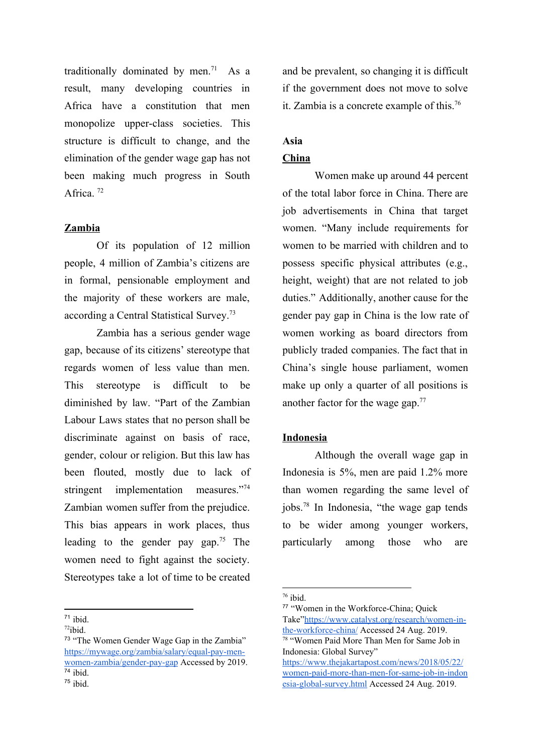traditionally dominated by men.<sup>71</sup> As a result, many developing countries in Africa have a constitution that men monopolize upper-class societies. This structure is difficult to change, and the elimination of the gender wage gap has not been making much progress in South Africa.<sup>72</sup>

## **Zambia**

Of its population of 12 million people, 4 million of Zambia's citizens are in formal, pensionable employment and the majority of these workers are male, according a Central Statistical Survey.<sup>73</sup>

Zambia has a serious gender wage gap, because of its citizens' stereotype that regards women of less value than men. This stereotype is difficult to be diminished by law. "Part of the Zambian Labour Laws states that no person shall be discriminate against on basis of race, gender, colour or religion. But this law has been flouted, mostly due to lack of stringent implementation measures."<sup>74</sup> Zambian women suffer from the prejudice. This bias appears in work places, thus leading to the gender pay gap.<sup>75</sup> The women need to fight against the society. Stereotypes take a lot of time to be created

<sup>71</sup> ibid.

and be prevalent, so changing it is difficult if the government does not move to solve it. Zambia is a concrete example of this.<sup>76</sup>

## **Asia**

## **China**

Women make up around 44 percent of the total labor force in China. There are job advertisements in China that target women. "Many include requirements for women to be married with children and to possess specific physical attributes (e.g., height, weight) that are not related to job duties." Additionally, another cause for the gender pay gap in China is the low rate of women working as board directors from publicly traded companies. The fact that in China's single house parliament, women make up only a quarter of all positions is another factor for the wage gap.<sup>77</sup>

#### **Indonesia**

Although the overall wage gap in Indonesia is 5%, men are paid 1.2% more than women regarding the same level of jobs. $78$  In Indonesia, "the wage gap tends to be wider among younger workers, particularly among those who are

[https://www.thejakartapost.com/news/2018/05/22/](https://www.thejakartapost.com/news/2018/05/22/women-paid-more-than-men-for-same-job-in-indonesia-global-survey.html) [women-paid-more-than-men-for-same-job-in-indon](https://www.thejakartapost.com/news/2018/05/22/women-paid-more-than-men-for-same-job-in-indonesia-global-survey.html) [esia-global-survey.html](https://www.thejakartapost.com/news/2018/05/22/women-paid-more-than-men-for-same-job-in-indonesia-global-survey.html) Accessed 24 Aug. 2019.

 $72$ ibid.

<sup>73</sup> "The Women Gender Wage Gap in the Zambia" [https://mywage.org/zambia/salary/equal-pay-men](https://mywage.org/zambia/salary/equal-pay-men-women-zambia/gender-pay-gap)[women-zambia/gender-pay-gap](https://mywage.org/zambia/salary/equal-pay-men-women-zambia/gender-pay-gap) Accessed by 2019. <sup>74</sup> ibid.

 $75$  ibid.

<sup>76</sup> ibid.

<sup>77</sup> "Women in the Workforce-China; Quick Take"[https://www.catalyst.org/research/women-in](https://www.catalyst.org/research/women-in-the-workforce-china/)[the-workforce-china/](https://www.catalyst.org/research/women-in-the-workforce-china/) Accessed 24 Aug. 2019. <sup>78</sup> "Women Paid More Than Men for Same Job in Indonesia: Global Survey"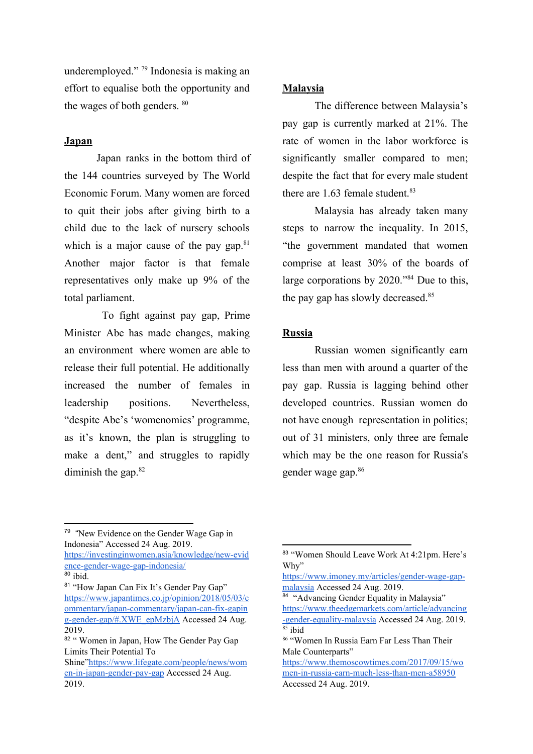underemployed."  $\frac{79}{79}$  Indonesia is making an effort to equalise both the opportunity and the wages of both genders. <sup>80</sup>

#### **Japan**

Japan ranks in the bottom third of the 144 countries surveyed by The World Economic Forum. Many women are forced to quit their jobs after giving birth to a child due to the lack of nursery schools which is a major cause of the pay gap. $81$ Another major factor is that female representatives only make up 9% of the total parliament.

To fight against pay gap, Prime Minister Abe has made changes, making an environment where women are able to release their full potential. He additionally increased the number of females in leadership positions. Nevertheless, "despite Abe's 'womenomics' programme, as it's known, the plan is struggling to make a dent," and struggles to rapidly diminish the gap. $82$ 

## **Malaysia**

The difference between Malaysia's pay gap is currently marked at 21%. The rate of women in the labor workforce is significantly smaller compared to men; despite the fact that for every male student there are 1.63 female student.<sup>83</sup>

Malaysia has already taken many steps to narrow the inequality. In 2015, "the government mandated that women comprise at least 30% of the boards of large corporations by  $2020.^{\prime\prime\prime\prime}4$  Due to this, the pay gap has slowly decreased.<sup>85</sup>

## **Russia**

Russian women significantly earn less than men with around a quarter of the pay gap. Russia is lagging behind other developed countries. Russian women do not have enough representation in politics; out of 31 ministers, only three are female which may be the one reason for Russia's gender wage gap.<sup>86</sup>

[https://investinginwomen.asia/knowledge/new-evid](https://investinginwomen.asia/knowledge/new-evidence-gender-wage-gap-indonesia/) [ence-gender-wage-gap-indonesia/](https://investinginwomen.asia/knowledge/new-evidence-gender-wage-gap-indonesia/)

81 "How Japan Can Fix It's Gender Pay Gap" [https://www.japantimes.co.jp/opinion/2018/05/03/c](https://www.japantimes.co.jp/opinion/2018/05/03/commentary/japan-commentary/japan-can-fix-gaping-gender-gap/#.XWE_epMzbjA) [ommentary/japan-commentary/japan-can-fix-gapin](https://www.japantimes.co.jp/opinion/2018/05/03/commentary/japan-commentary/japan-can-fix-gaping-gender-gap/#.XWE_epMzbjA) [g-gender-gap/#.XWE\\_epMzbjA](https://www.japantimes.co.jp/opinion/2018/05/03/commentary/japan-commentary/japan-can-fix-gaping-gender-gap/#.XWE_epMzbjA) Accessed 24 Aug. 2019.

<sup>&</sup>lt;sup>79</sup> "New Evidence on the Gender Wage Gap in Indonesia" Accessed 24 Aug. 2019.

<sup>80</sup> ibid.

<sup>82 &</sup>quot; Women in Japan, How The Gender Pay Gap Limits Their Potential To

Shine["https://www.lifegate.com/people/news/wom](https://www.lifegate.com/people/news/women-in-japan-gender-pay-gap) [en-in-japan-gender-pay-gap](https://www.lifegate.com/people/news/women-in-japan-gender-pay-gap) Accessed 24 Aug. 2019.

<sup>83</sup> "Women Should Leave Work At 4:21pm. Here's Why"

[https://www.imoney.my/articles/gender-wage-gap](https://www.imoney.my/articles/gender-wage-gap-malaysia)[malaysia](https://www.imoney.my/articles/gender-wage-gap-malaysia) Accessed 24 Aug. 2019.

<sup>84 &</sup>quot;Advancing Gender Equality in Malaysia" [https://www.theedgemarkets.com/article/advancing](https://www.theedgemarkets.com/article/advancing-gender-equality-malaysia) [-gender-equality-malaysia](https://www.theedgemarkets.com/article/advancing-gender-equality-malaysia) Accessed 24 Aug. 2019.  $85$  ibid

<sup>86</sup> "Women In Russia Earn Far Less Than Their Male Counterparts"

[https://www.themoscowtimes.com/2017/09/15/wo](https://www.themoscowtimes.com/2017/09/15/women-in-russia-earn-much-less-than-men-a58950) [men-in-russia-earn-much-less-than-men-a58950](https://www.themoscowtimes.com/2017/09/15/women-in-russia-earn-much-less-than-men-a58950) Accessed 24 Aug. 2019.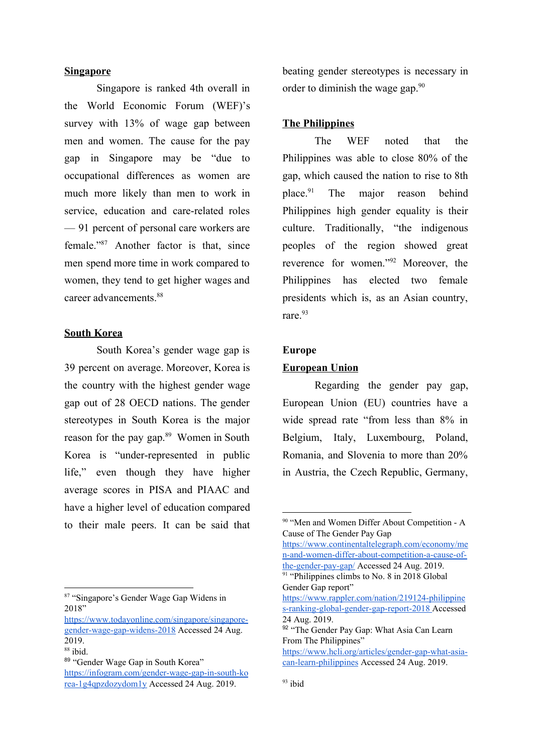## **Singapore**

Singapore is ranked 4th overall in the World Economic Forum (WEF)'s survey with 13% of wage gap between men and women. The cause for the pay gap in Singapore may be "due to occupational differences as women are much more likely than men to work in service, education and care-related roles — 91 percent of personal care workers are female."<sup>87</sup> Another factor is that, since men spend more time in work compared to women, they tend to get higher wages and career advancements.<sup>88</sup>

## **South Korea**

South Korea's gender wage gap is 39 percent on average. Moreover, Korea is the country with the highest gender wage gap out of 28 OECD nations. The gender stereotypes in South Korea is the major reason for the pay gap.<sup>89</sup> Women in South Korea is "under-represented in public life," even though they have higher average scores in PISA and PIAAC and have a higher level of education compared to their male peers. It can be said that

<sup>87</sup> "Singapore's Gender Wage Gap Widens in 2018"

beating gender stereotypes is necessary in order to diminish the wage gap.<sup>90</sup>

## **The Philippines**

The WEF noted that the Philippines was able to close 80% of the gap, which caused the nation to rise to 8th place. $91$  The major reason behind Philippines high gender equality is their culture. Traditionally, "the indigenous peoples of the region showed great reverence for women."<sup>92</sup> Moreover, the Philippines has elected two female presidents which is, as an Asian country, rare.<sup>93</sup>

#### **Europe**

#### **European Union**

Regarding the gender pay gap, European Union (EU) countries have a wide spread rate "from less than 8% in Belgium, Italy, Luxembourg, Poland, Romania, and Slovenia to more than 20% in Austria, the Czech Republic, Germany,

[https://www.continentaltelegraph.com/economy/me](https://www.continentaltelegraph.com/economy/men-and-women-differ-about-competition-a-cause-of-the-gender-pay-gap/) [n-and-women-differ-about-competition-a-cause-of](https://www.continentaltelegraph.com/economy/men-and-women-differ-about-competition-a-cause-of-the-gender-pay-gap/)[the-gender-pay-gap/](https://www.continentaltelegraph.com/economy/men-and-women-differ-about-competition-a-cause-of-the-gender-pay-gap/) Accessed 24 Aug. 2019. <sup>91</sup> "Philippines climbs to No. 8 in 2018 Global"

[https://www.todayonline.com/singapore/singapore](https://www.todayonline.com/singapore/singapore-gender-wage-gap-widens-2018)[gender-wage-gap-widens-2018](https://www.todayonline.com/singapore/singapore-gender-wage-gap-widens-2018) Accessed 24 Aug. 2019.

<sup>88</sup> ibid.

<sup>89</sup> "Gender Wage Gap in South Korea" [https://infogram.com/gender-wage-gap-in-south-ko](https://infogram.com/gender-wage-gap-in-south-korea-1g4qpzdozydom1y) [rea-1g4qpzdozydom1y](https://infogram.com/gender-wage-gap-in-south-korea-1g4qpzdozydom1y) Accessed 24 Aug. 2019.

<sup>&</sup>lt;sup>90</sup> "Men and Women Differ About Competition - A Cause of The Gender Pay Gap

Gender Gap report" [https://www.rappler.com/nation/219124-philippine](https://www.rappler.com/nation/219124-philippines-ranking-global-gender-gap-report-2018) [s-ranking-global-gender-gap-report-2018](https://www.rappler.com/nation/219124-philippines-ranking-global-gender-gap-report-2018) Accessed 24 Aug. 2019.

<sup>92 &</sup>quot;The Gender Pay Gap: What Asia Can Learn From The Philippines"

[https://www.hcli.org/articles/gender-gap-what-asia](https://www.hcli.org/articles/gender-gap-what-asia-can-learn-philippines)[can-learn-philippines](https://www.hcli.org/articles/gender-gap-what-asia-can-learn-philippines) Accessed 24 Aug. 2019.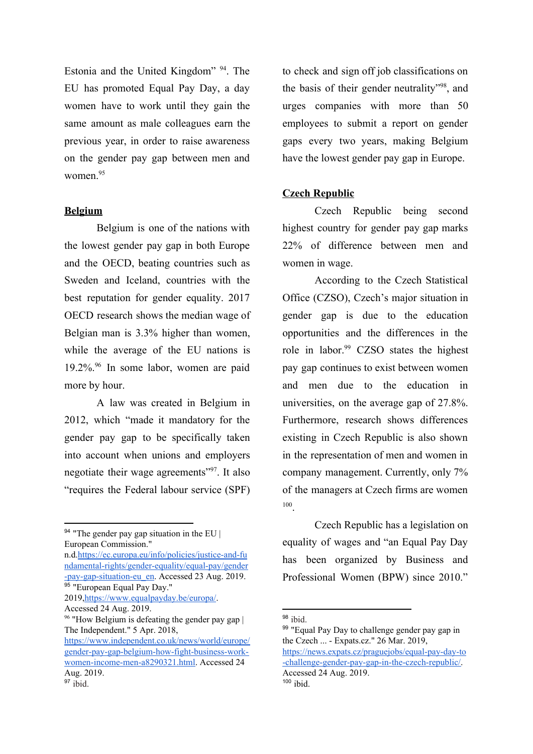Estonia and the United Kingdom"  $94$ . The EU has promoted Equal Pay Day, a day women have to work until they gain the same amount as male colleagues earn the previous year, in order to raise awareness on the gender pay gap between men and women<sup>95</sup>

#### **Belgium**

Belgium is one of the nations with the lowest gender pay gap in both Europe and the OECD, beating countries such as Sweden and Iceland, countries with the best reputation for gender equality. 2017 OECD research shows the median wage of Belgian man is 3.3% higher than women, while the average of the EU nations is  $19.2\%$ . In some labor, women are paid more by hour.

A law was created in Belgium in 2012, which "made it mandatory for the gender pay gap to be specifically taken into account when unions and employers negotiate their wage agreements"<sup>97</sup>. It also "requires the Federal labour service (SPF)

<sup>94</sup> "The gender pay gap situation in the EU | European Commission."

n.d[.https://ec.europa.eu/info/policies/justice-and-fu](https://ec.europa.eu/info/policies/justice-and-fundamental-rights/gender-equality/equal-pay/gender-pay-gap-situation-eu_en) [ndamental-rights/gender-equality/equal-pay/gender](https://ec.europa.eu/info/policies/justice-and-fundamental-rights/gender-equality/equal-pay/gender-pay-gap-situation-eu_en) [-pay-gap-situation-eu\\_en.](https://ec.europa.eu/info/policies/justice-and-fundamental-rights/gender-equality/equal-pay/gender-pay-gap-situation-eu_en) Accessed 23 Aug. 2019. 95 "European Equal Pay Day." 2019,[https://www.equalpayday.be/europa/.](https://www.equalpayday.be/europa/) Accessed 24 Aug. 2019.

to check and sign off job classifications on the basis of their gender neutrality", and urges companies with more than 50 employees to submit a report on gender gaps every two years, making Belgium have the lowest gender pay gap in Europe.

#### **Czech Republic**

Czech Republic being second highest country for gender pay gap marks 22% of difference between men and women in wage.

According to the Czech Statistical Office (CZSO), Czech's major situation in gender gap is due to the education opportunities and the differences in the role in labor. $99$  CZSO states the highest pay gap continues to exist between women and men due to the education in universities, on the average gap of 27.8%. Furthermore, research shows differences existing in Czech Republic is also shown in the representation of men and women in company management. Currently, only 7% of the managers at Czech firms are women . 100

Czech Republic has a legislation on equality of wages and "an Equal Pay Day has been organized by Business and Professional Women (BPW) since 2010."

<sup>&</sup>lt;sup>96</sup> "How Belgium is defeating the gender pay gap | The Independent." 5 Apr. 2018,

[https://www.independent.co.uk/news/world/europe/](https://www.independent.co.uk/news/world/europe/gender-pay-gap-belgium-how-fight-business-work-women-income-men-a8290321.html) [gender-pay-gap-belgium-how-fight-business-work](https://www.independent.co.uk/news/world/europe/gender-pay-gap-belgium-how-fight-business-work-women-income-men-a8290321.html)[women-income-men-a8290321.html](https://www.independent.co.uk/news/world/europe/gender-pay-gap-belgium-how-fight-business-work-women-income-men-a8290321.html). Accessed 24 Aug. 2019.  $97$  ibid.

<sup>98</sup> ibid.

<sup>&</sup>lt;sup>99</sup> "Equal Pay Day to challenge gender pay gap in the Czech ... - Expats.cz." 26 Mar. 2019, [https://news.expats.cz/praguejobs/equal-pay-day-to](https://news.expats.cz/praguejobs/equal-pay-day-to-challenge-gender-pay-gap-in-the-czech-republic/) [-challenge-gender-pay-gap-in-the-czech-republic/.](https://news.expats.cz/praguejobs/equal-pay-day-to-challenge-gender-pay-gap-in-the-czech-republic/) Accessed 24 Aug. 2019.

 $100$  ibid.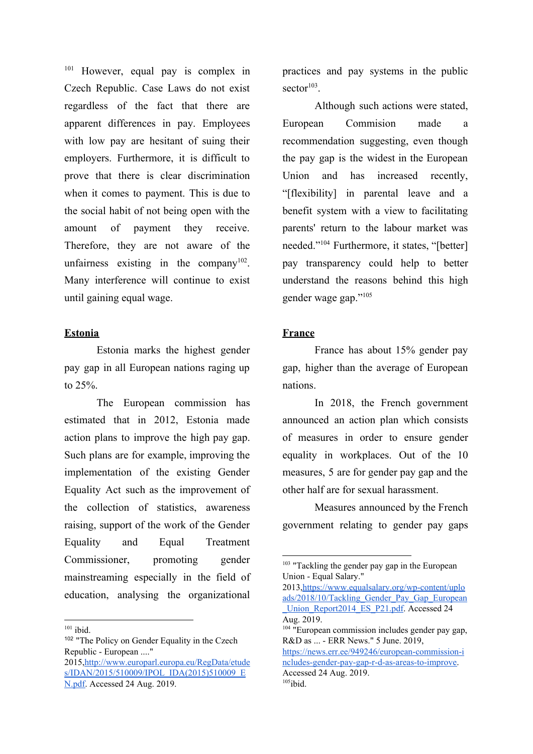$101$  However, equal pay is complex in Czech Republic. Case Laws do not exist regardless of the fact that there are apparent differences in pay. Employees with low pay are hesitant of suing their employers. Furthermore, it is difficult to prove that there is clear discrimination when it comes to payment. This is due to the social habit of not being open with the amount of payment they receive. Therefore, they are not aware of the unfairness existing in the company  $102$ . Many interference will continue to exist until gaining equal wage.

## **Estonia**

Estonia marks the highest gender pay gap in all European nations raging up to 25%.

The European commission has estimated that in 2012, Estonia made action plans to improve the high pay gap. Such plans are for example, improving the implementation of the existing Gender Equality Act such as the improvement of the collection of statistics, awareness raising, support of the work of the Gender Equality and Equal Treatment Commissioner, promoting gender mainstreaming especially in the field of education, analysing the organizational

<sup>102</sup> "The Policy on Gender Equality in the Czech Republic - European ...."

2015,[http://www.europarl.europa.eu/RegData/etude](http://www.europarl.europa.eu/RegData/etudes/IDAN/2015/510009/IPOL_IDA(2015)510009_EN.pdf) [s/IDAN/2015/510009/IPOL\\_IDA\(2015\)510009\\_E](http://www.europarl.europa.eu/RegData/etudes/IDAN/2015/510009/IPOL_IDA(2015)510009_EN.pdf) [N.pdf](http://www.europarl.europa.eu/RegData/etudes/IDAN/2015/510009/IPOL_IDA(2015)510009_EN.pdf). Accessed 24 Aug. 2019.

practices and pay systems in the public  $sector<sup>103</sup>$ .

Although such actions were stated, European Commision made a recommendation suggesting, even though the pay gap is the widest in the European Union and has increased recently, "[flexibility] in parental leave and a benefit system with a view to facilitating parents' return to the labour market was needed."<sup>104</sup> Furthermore, it states, "[better] pay transparency could help to better understand the reasons behind this high gender wage gap."<sup>105</sup>

## **France**

France has about 15% gender pay gap, higher than the average of European nations.

In 2018, the French government announced an action plan which consists of measures in order to ensure gender equality in workplaces. Out of the 10 measures, 5 are for gender pay gap and the other half are for sexual harassment.

Measures announced by the French government relating to gender pay gaps

2013,[https://www.equalsalary.org/wp-content/uplo](https://www.equalsalary.org/wp-content/uploads/2018/10/Tackling_Gender_Pay_Gap_European_Union_Report2014_ES_P21.pdf) [ads/2018/10/Tackling\\_Gender\\_Pay\\_Gap\\_European](https://www.equalsalary.org/wp-content/uploads/2018/10/Tackling_Gender_Pay_Gap_European_Union_Report2014_ES_P21.pdf) [\\_Union\\_Report2014\\_ES\\_P21.pdf](https://www.equalsalary.org/wp-content/uploads/2018/10/Tackling_Gender_Pay_Gap_European_Union_Report2014_ES_P21.pdf). Accessed 24 Aug. 2019.

<sup>104</sup> "European commission includes gender pay gap, R&D as ... - ERR News." 5 June. 2019, [https://news.err.ee/949246/european-commission-i](https://news.err.ee/949246/european-commission-includes-gender-pay-gap-r-d-as-areas-to-improve)

[ncludes-gender-pay-gap-r-d-as-areas-to-improve](https://news.err.ee/949246/european-commission-includes-gender-pay-gap-r-d-as-areas-to-improve). Accessed 24 Aug. 2019.  $105$ ibid.

 $101$  ibid.

<sup>&</sup>lt;sup>103</sup> "Tackling the gender pay gap in the European Union - Equal Salary."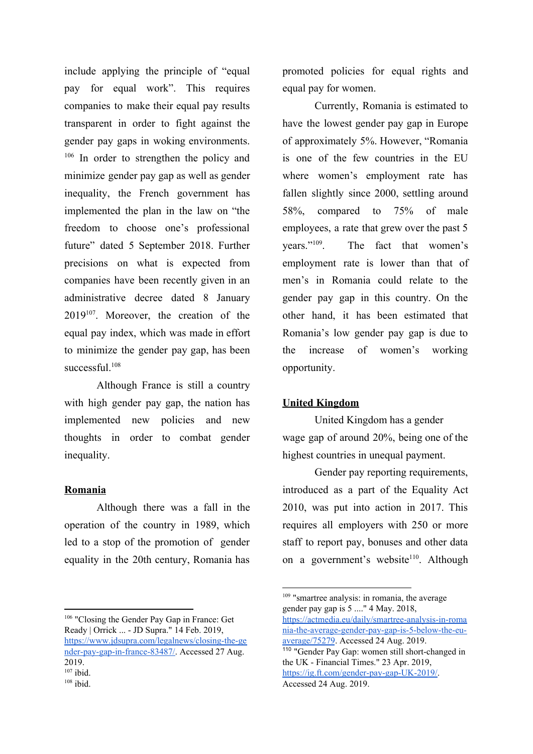include applying the principle of "equal pay for equal work". This requires companies to make their equal pay results transparent in order to fight against the gender pay gaps in woking environments.  $106$  In order to strengthen the policy and minimize gender pay gap as well as gender inequality, the French government has implemented the plan in the law on "the freedom to choose one's professional future" dated 5 September 2018. Further precisions on what is expected from companies have been recently given in an administrative decree dated 8 January  $2019^{107}$ . Moreover, the creation of the equal pay index, which was made in effort to minimize the gender pay gap, has been successful<sup>108</sup>

Although France is still a country with high gender pay gap, the nation has implemented new policies and new thoughts in order to combat gender inequality.

## **Romania**

Although there was a fall in the operation of the country in 1989, which led to a stop of the promotion of gender equality in the 20th century, Romania has

<sup>106</sup> "Closing the Gender Pay Gap in France: Get Ready | Orrick ... - JD Supra." 14 Feb. 2019, [https://www.jdsupra.com/legalnews/closing-the-ge](https://www.jdsupra.com/legalnews/closing-the-gender-pay-gap-in-france-83487/) [nder-pay-gap-in-france-83487/.](https://www.jdsupra.com/legalnews/closing-the-gender-pay-gap-in-france-83487/) Accessed 27 Aug. 2019.  $107$  ibid.

promoted policies for equal rights and equal pay for women.

Currently, Romania is estimated to have the lowest gender pay gap in Europe of approximately 5%. However, "Romania is one of the few countries in the EU where women's employment rate has fallen slightly since 2000, settling around 58%, compared to 75% of male employees, a rate that grew over the past 5 vears." $109$ . The fact that women's employment rate is lower than that of men's in Romania could relate to the gender pay gap in this country. On the other hand, it has been estimated that Romania's low gender pay gap is due to the increase of women's working opportunity.

## **United Kingdom**

United Kingdom has a gender wage gap of around 20%, being one of the highest countries in unequal payment.

Gender pay reporting requirements, introduced as a part of the Equality Act 2010, was put into action in 2017. This requires all employers with 250 or more staff to report pay, bonuses and other data on a government's website<sup>110</sup>. Although

 $108$  ibid.

<sup>&</sup>lt;sup>109</sup> "smartree analysis: in romania, the average gender pay gap is 5 ...." 4 May. 2018, [https://actmedia.eu/daily/smartree-analysis-in-roma](https://actmedia.eu/daily/smartree-analysis-in-romania-the-average-gender-pay-gap-is-5-below-the-eu-average/75279) [nia-the-average-gender-pay-gap-is-5-below-the-eu](https://actmedia.eu/daily/smartree-analysis-in-romania-the-average-gender-pay-gap-is-5-below-the-eu-average/75279)[average/75279.](https://actmedia.eu/daily/smartree-analysis-in-romania-the-average-gender-pay-gap-is-5-below-the-eu-average/75279) Accessed 24 Aug. 2019.

<sup>110</sup> "Gender Pay Gap: women still short-changed in the UK - Financial Times." 23 Apr. 2019, <https://ig.ft.com/gender-pay-gap-UK-2019/>. Accessed 24 Aug. 2019.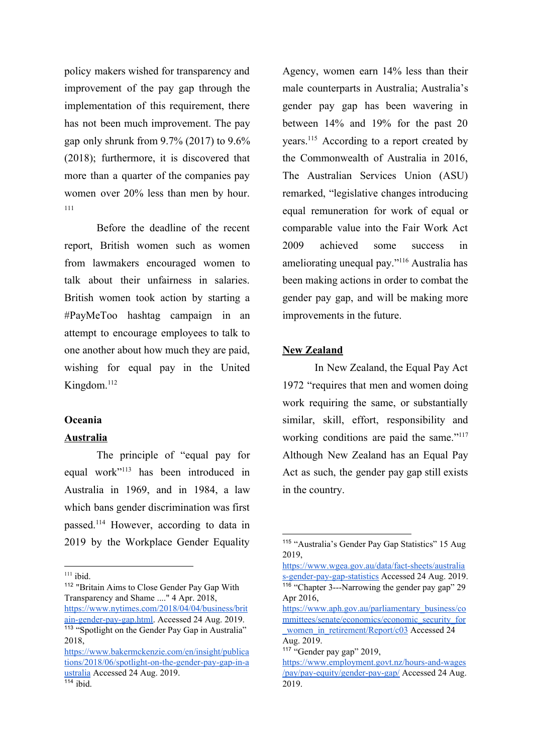policy makers wished for transparency and improvement of the pay gap through the implementation of this requirement, there has not been much improvement. The pay gap only shrunk from 9.7% (2017) to 9.6% (2018); furthermore, it is discovered that more than a quarter of the companies pay women over 20% less than men by hour. 111

Before the deadline of the recent report, British women such as women from lawmakers encouraged women to talk about their unfairness in salaries. British women took action by starting a #PayMeToo hashtag campaign in an attempt to encourage employees to talk to one another about how much they are paid, wishing for equal pay in the United Kingdom.<sup>112</sup>

#### **Oceania**

#### **Australia**

The principle of "equal pay for equal work"<sup>113</sup> has been introduced in Australia in 1969, and in 1984, a law which bans gender discrimination was first passed.<sup>114</sup> However, according to data in 2019 by the Workplace Gender Equality

Agency, women earn 14% less than their male counterparts in Australia; Australia's gender pay gap has been wavering in between 14% and 19% for the past 20 years. $115$  According to a report created by the Commonwealth of Australia in 2016, The Australian Services Union (ASU) remarked, "legislative changes introducing equal remuneration for work of equal or comparable value into the Fair Work Act 2009 achieved some success in ameliorating unequal pay." $116$  Australia has been making actions in order to combat the gender pay gap, and will be making more improvements in the future.

#### **New Zealand**

In New Zealand, the Equal Pay Act 1972 "requires that men and women doing work requiring the same, or substantially similar, skill, effort, responsibility and working conditions are paid the same."<sup>117</sup> Although New Zealand has an Equal Pay Act as such, the gender pay gap still exists in the country.

 $111$  ibid.

<sup>112</sup> "Britain Aims to Close Gender Pay Gap With Transparency and Shame ...." 4 Apr. 2018, [https://www.nytimes.com/2018/04/04/business/brit](https://www.nytimes.com/2018/04/04/business/britain-gender-pay-gap.html) [ain-gender-pay-gap.html](https://www.nytimes.com/2018/04/04/business/britain-gender-pay-gap.html). Accessed 24 Aug. 2019. <sup>113</sup> "Spotlight on the Gender Pay Gap in Australia" 2018,

[https://www.bakermckenzie.com/en/insight/publica](https://www.bakermckenzie.com/en/insight/publications/2018/06/spotlight-on-the-gender-pay-gap-in-australia) [tions/2018/06/spotlight-on-the-gender-pay-gap-in-a](https://www.bakermckenzie.com/en/insight/publications/2018/06/spotlight-on-the-gender-pay-gap-in-australia) [ustralia](https://www.bakermckenzie.com/en/insight/publications/2018/06/spotlight-on-the-gender-pay-gap-in-australia) Accessed 24 Aug. 2019.  $114$  ibid.

<sup>115</sup> "Australia's Gender Pay Gap Statistics" 15 Aug 2019,

[https://www.wgea.gov.au/data/fact-sheets/australia](https://www.wgea.gov.au/data/fact-sheets/australias-gender-pay-gap-statistics) [s-gender-pay-gap-statistics](https://www.wgea.gov.au/data/fact-sheets/australias-gender-pay-gap-statistics) Accessed 24 Aug. 2019. <sup>116</sup> "Chapter 3---Narrowing the gender pay gap" 29 Apr 2016,

[https://www.aph.gov.au/parliamentary\\_business/co](https://www.aph.gov.au/parliamentary_business/committees/senate/economics/economic_security_for_women_in_retirement/Report/c03) [mmittees/senate/economics/economic\\_security\\_for](https://www.aph.gov.au/parliamentary_business/committees/senate/economics/economic_security_for_women_in_retirement/Report/c03) women in retirement/Report/c03 Accessed 24 Aug. 2019.

<sup>117</sup> "Gender pay gap" 2019,

[https://www.employment.govt.nz/hours-and-wages](https://www.employment.govt.nz/hours-and-wages/pay/pay-equity/gender-pay-gap/) [/pay/pay-equity/gender-pay-gap/](https://www.employment.govt.nz/hours-and-wages/pay/pay-equity/gender-pay-gap/) Accessed 24 Aug. 2019.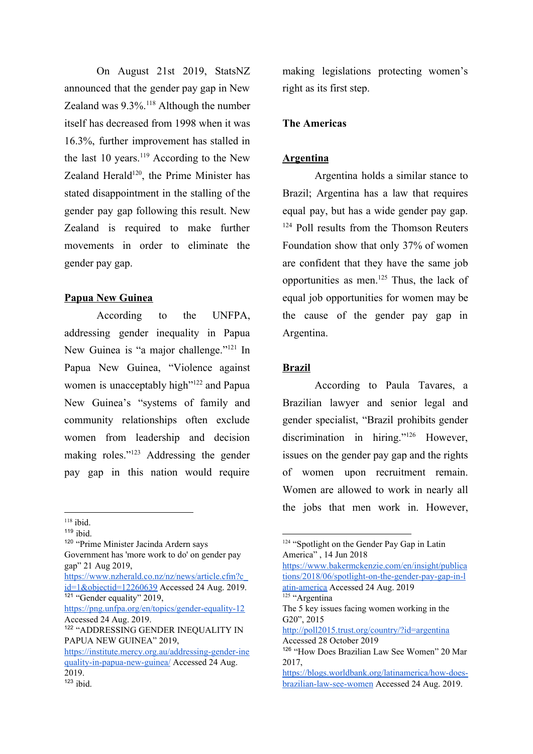On August 21st 2019, StatsNZ announced that the gender pay gap in New Zealand was  $9.3\%$ .<sup>118</sup> Although the number itself has decreased from 1998 when it was 16.3%, further improvement has stalled in the last 10 years. $119$  According to the New Zealand Herald $120$ , the Prime Minister has stated disappointment in the stalling of the gender pay gap following this result. New Zealand is required to make further movements in order to eliminate the gender pay gap.

## **Papua New Guinea**

According to the UNFPA, addressing gender inequality in Papua New Guinea is "a major challenge."<sup>121</sup> In Papua New Guinea, "Violence against women is unacceptably high $"122$  and Papua New Guinea's "systems of family and community relationships often exclude women from leadership and decision making roles." $123$  Addressing the gender pay gap in this nation would require

[https://www.nzherald.co.nz/nz/news/article.cfm?c\\_](https://www.nzherald.co.nz/nz/news/article.cfm?c_id=1&objectid=12260639) [id=1&objectid=12260639](https://www.nzherald.co.nz/nz/news/article.cfm?c_id=1&objectid=12260639) Accessed 24 Aug. 2019. <sup>121</sup> "Gender equality" 2019,

## **The Americas**

## **Argentina**

Argentina holds a similar stance to Brazil; Argentina has a law that requires equal pay, but has a wide gender pay gap.  $124$  Poll results from the Thomson Reuters Foundation show that only 37% of women are confident that they have the same job opportunities as men. $^{125}$  Thus, the lack of equal job opportunities for women may be the cause of the gender pay gap in Argentina.

## **Brazil**

According to Paula Tavares, a Brazilian lawyer and senior legal and gender specialist, "Brazil prohibits gender discrimination in hiring." $126$  However, issues on the gender pay gap and the rights of women upon recruitment remain. Women are allowed to work in nearly all the jobs that men work in. However,

[https://www.bakermckenzie.com/en/insight/publica](https://www.bakermckenzie.com/en/insight/publications/2018/06/spotlight-on-the-gender-pay-gap-in-latin-america) [tions/2018/06/spotlight-on-the-gender-pay-gap-in-l](https://www.bakermckenzie.com/en/insight/publications/2018/06/spotlight-on-the-gender-pay-gap-in-latin-america) [atin-america](https://www.bakermckenzie.com/en/insight/publications/2018/06/spotlight-on-the-gender-pay-gap-in-latin-america) Accessed 24 Aug. 2019 <sup>125</sup> "Argentina The 5 key issues facing women working in the G20", 2015 <http://poll2015.trust.org/country/?id=argentina> Accessed 28 October 2019 <sup>126</sup> "How Does Brazilian Law See Women" 20 Mar 2017, [https://blogs.worldbank.org/latinamerica/how-does-](https://blogs.worldbank.org/latinamerica/how-does-brazilian-law-see-women)

 $118$  ibid.

 $119$  ibid.

<sup>120</sup> "Prime Minister Jacinda Ardern says Government has 'more work to do' on gender pay gap" 21 Aug 2019,

<https://png.unfpa.org/en/topics/gender-equality-12> Accessed 24 Aug. 2019.

<sup>122</sup> "ADDRESSING GENDER INEQUALITY IN PAPUA NEW GUINEA" 2019,

[https://institute.mercy.org.au/addressing-gender-ine](https://institute.mercy.org.au/addressing-gender-inequality-in-papua-new-guinea/) [quality-in-papua-new-guinea/](https://institute.mercy.org.au/addressing-gender-inequality-in-papua-new-guinea/) Accessed 24 Aug. 2019.

making legislations protecting women's right as its first step.

<sup>&</sup>lt;sup>124</sup> "Spotlight on the Gender Pay Gap in Latin America" , 14 Jun 2018

[brazilian-law-see-women](https://blogs.worldbank.org/latinamerica/how-does-brazilian-law-see-women) Accessed 24 Aug. 2019.

 $123$  ibid.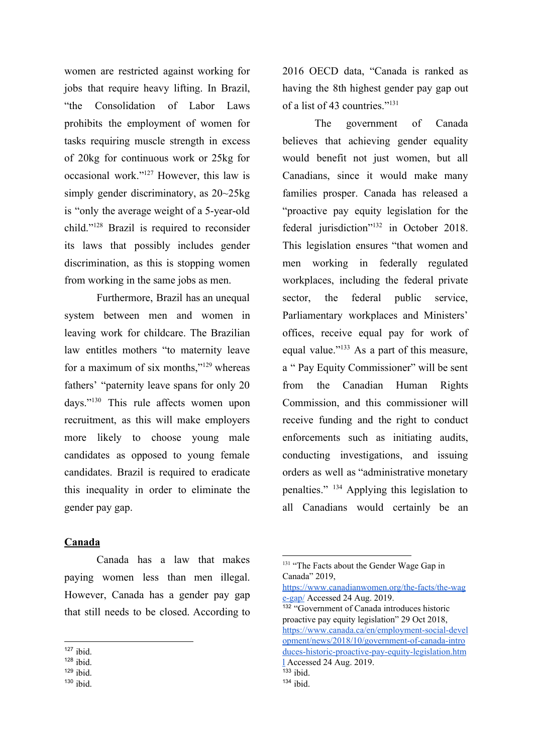women are restricted against working for jobs that require heavy lifting. In Brazil, "the Consolidation of Labor Laws prohibits the employment of women for tasks requiring muscle strength in excess of 20kg for continuous work or 25kg for occasional work." $127$  However, this law is simply gender discriminatory, as 20~25kg is "only the average weight of a 5-year-old child." $128$  Brazil is required to reconsider its laws that possibly includes gender discrimination, as this is stopping women from working in the same jobs as men.

Furthermore, Brazil has an unequal system between men and women in leaving work for childcare. The Brazilian law entitles mothers "to maternity leave for a maximum of six months," $129$  whereas fathers' "paternity leave spans for only 20 days."<sup>130</sup> This rule affects women upon recruitment, as this will make employers more likely to choose young male candidates as opposed to young female candidates. Brazil is required to eradicate this inequality in order to eliminate the gender pay gap.

## **Canada**

Canada has a law that makes paying women less than men illegal. However, Canada has a gender pay gap that still needs to be closed. According to

 $130$  ibid.

2016 OECD data, "Canada is ranked as having the 8th highest gender pay gap out of a list of 43 countries."<sup>131</sup>

The government of Canada believes that achieving gender equality would benefit not just women, but all Canadians, since it would make many families prosper. Canada has released a "proactive pay equity legislation for the federal jurisdiction"<sup>132</sup> in October 2018. This legislation ensures "that women and men working in federally regulated workplaces, including the federal private sector, the federal public service, Parliamentary workplaces and Ministers' offices, receive equal pay for work of equal value." $133$  As a part of this measure, a " Pay Equity Commissioner" will be sent from the Canadian Human Rights Commission, and this commissioner will receive funding and the right to conduct enforcements such as initiating audits, conducting investigations, and issuing orders as well as "administrative monetary penalties."  $134$  Applying this legislation to all Canadians would certainly be an

[https://www.canadianwomen.org/the-facts/the-wag](https://www.canadianwomen.org/the-facts/the-wage-gap/) [e-gap/](https://www.canadianwomen.org/the-facts/the-wage-gap/) Accessed 24 Aug. 2019. <sup>132</sup> "Government of Canada introduces historic proactive pay equity legislation" 29 Oct 2018, [https://www.canada.ca/en/employment-social-devel](https://www.canada.ca/en/employment-social-development/news/2018/10/government-of-canada-introduces-historic-proactive-pay-equity-legislation.html) [opment/news/2018/10/government-of-canada-intro](https://www.canada.ca/en/employment-social-development/news/2018/10/government-of-canada-introduces-historic-proactive-pay-equity-legislation.html) [duces-historic-proactive-pay-equity-legislation.htm](https://www.canada.ca/en/employment-social-development/news/2018/10/government-of-canada-introduces-historic-proactive-pay-equity-legislation.html) [l](https://www.canada.ca/en/employment-social-development/news/2018/10/government-of-canada-introduces-historic-proactive-pay-equity-legislation.html) Accessed 24 Aug. 2019.  $133$  ibid.

 $127$  ibid.

 $128$  ibid.

 $129$  ibid.

<sup>&</sup>lt;sup>131</sup> "The Facts about the Gender Wage Gap in Canada" 2019,

 $134$  ibid.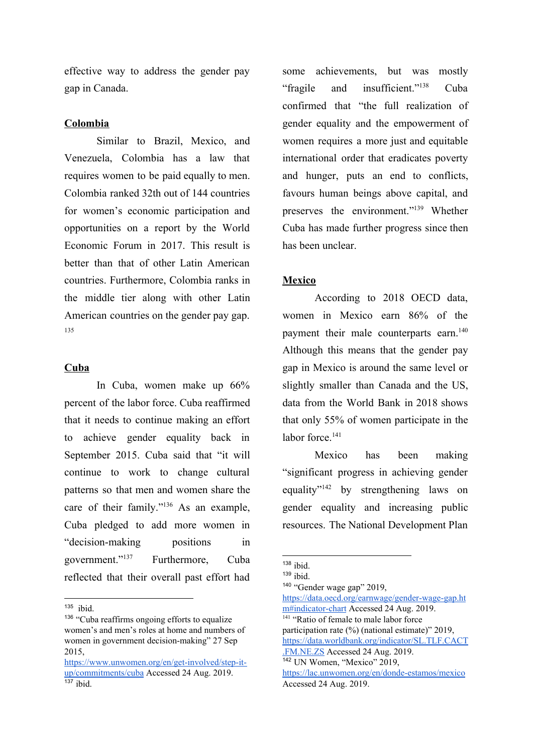effective way to address the gender pay gap in Canada.

#### **Colombia**

Similar to Brazil, Mexico, and Venezuela, Colombia has a law that requires women to be paid equally to men. Colombia ranked 32th out of 144 countries for women's economic participation and opportunities on a report by the World Economic Forum in 2017. This result is better than that of other Latin American countries. Furthermore, Colombia ranks in the middle tier along with other Latin American countries on the gender pay gap. 135

## **Cuba**

In Cuba, women make up 66% percent of the labor force. Cuba reaffirmed that it needs to continue making an effort to achieve gender equality back in September 2015. Cuba said that "it will continue to work to change cultural patterns so that men and women share the care of their family." $136$  As an example, Cuba pledged to add more women in "decision-making positions in government."<sup>137</sup> Furthermore, Cuba reflected that their overall past effort had

some achievements, but was mostly "fragile and insufficient."<sup>138</sup> Cuba confirmed that "the full realization of gender equality and the empowerment of women requires a more just and equitable international order that eradicates poverty and hunger, puts an end to conflicts, favours human beings above capital, and preserves the environment."<sup>139</sup> Whether Cuba has made further progress since then has been unclear.

## **Mexico**

According to 2018 OECD data, women in Mexico earn 86% of the payment their male counterparts earn.<sup>140</sup> Although this means that the gender pay gap in Mexico is around the same level or slightly smaller than Canada and the US, data from the World Bank in 2018 shows that only 55% of women participate in the labor force.<sup>141</sup>

Mexico has been making "significant progress in achieving gender equality" $142$  by strengthening laws on gender equality and increasing public resources. The National Development Plan

<sup>142</sup> UN Women, "Mexico" 2019,

<sup>135</sup> ibid.

<sup>&</sup>lt;sup>136</sup> "Cuba reaffirms ongoing efforts to equalize women's and men's roles at home and numbers of women in government decision-making" 27 Sep 2015,

[https://www.unwomen.org/en/get-involved/step-it](https://www.unwomen.org/en/get-involved/step-it-up/commitments/cuba)[up/commitments/cuba](https://www.unwomen.org/en/get-involved/step-it-up/commitments/cuba) Accessed 24 Aug. 2019.  $137$  ibid.

 $138$  ibid.

 $139$  ibid.

<sup>140</sup> "Gender wage gap" 2019, [https://data.oecd.org/earnwage/gender-wage-gap.ht](https://data.oecd.org/earnwage/gender-wage-gap.htm#indicator-chart)

[m#indicator-chart](https://data.oecd.org/earnwage/gender-wage-gap.htm#indicator-chart) Accessed 24 Aug. 2019. <sup>141</sup> "Ratio of female to male labor force participation rate (%) (national estimate)" 2019,

[https://data.worldbank.org/indicator/SL.TLF.CACT](https://data.worldbank.org/indicator/SL.TLF.CACT.FM.NE.ZS) [.FM.NE.ZS](https://data.worldbank.org/indicator/SL.TLF.CACT.FM.NE.ZS) Accessed 24 Aug. 2019.

<https://lac.unwomen.org/en/donde-estamos/mexico> Accessed 24 Aug. 2019.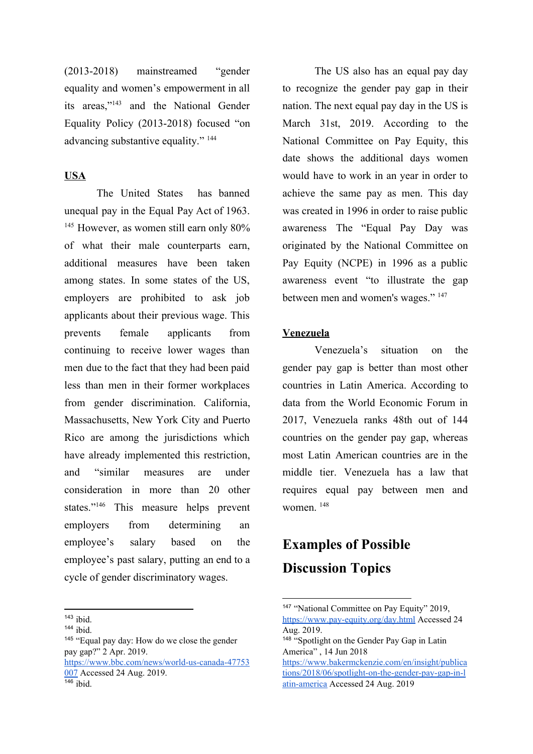(2013-2018) mainstreamed "gender equality and women's empowerment in all its areas," $143$  and the National Gender Equality Policy (2013-2018) focused "on advancing substantive equality." <sup>144</sup>

## **USA**

The United States has banned unequal pay in the Equal Pay Act of 1963.  $145$  However, as women still earn only  $80\%$ of what their male counterparts earn, additional measures have been taken among states. In some states of the US, employers are prohibited to ask job applicants about their previous wage. This prevents female applicants from continuing to receive lower wages than men due to the fact that they had been paid less than men in their former workplaces from gender discrimination. California, Massachusetts, New York City and Puerto Rico are among the jurisdictions which have already implemented this restriction, and "similar measures are under consideration in more than 20 other states."<sup>146</sup> This measure helps prevent employers from determining an employee's salary based on the employee's past salary, putting an end to a cycle of gender discriminatory wages.

<sup>145</sup> "Equal pay day: How do we close the gender pay gap?" 2 Apr. 2019. [https://www.bbc.com/news/world-us-canada-47753](https://www.bbc.com/news/world-us-canada-47753007) [007](https://www.bbc.com/news/world-us-canada-47753007) Accessed 24 Aug. 2019.  $146$  ibid.

The US also has an equal pay day to recognize the gender pay gap in their nation. The next equal pay day in the US is March 31st, 2019. According to the National Committee on Pay Equity, this date shows the additional days women would have to work in an year in order to achieve the same pay as men. This day was created in 1996 in order to raise public awareness The "Equal Pay Day was originated by the National Committee on Pay Equity (NCPE) in 1996 as a public awareness event "to illustrate the gap between men and women's wages." <sup>147</sup>

## **Venezuela**

Venezuela's situation on the gender pay gap is better than most other countries in Latin America. According to data from the World Economic Forum in 2017, Venezuela ranks 48th out of 144 countries on the gender pay gap, whereas most Latin American countries are in the middle tier. Venezuela has a law that requires equal pay between men and women.<sup>148</sup>

# **Examples of Possible Discussion Topics**

 $143$  ibid.

 $144$  ibid.

<sup>&</sup>lt;sup>147</sup> "National Committee on Pay Equity" 2019, <https://www.pay-equity.org/day.html> Accessed 24 Aug. 2019.

<sup>148</sup> "Spotlight on the Gender Pay Gap in Latin America" , 14 Jun 2018

[https://www.bakermckenzie.com/en/insight/publica](https://www.bakermckenzie.com/en/insight/publications/2018/06/spotlight-on-the-gender-pay-gap-in-latin-america) [tions/2018/06/spotlight-on-the-gender-pay-gap-in-l](https://www.bakermckenzie.com/en/insight/publications/2018/06/spotlight-on-the-gender-pay-gap-in-latin-america) [atin-america](https://www.bakermckenzie.com/en/insight/publications/2018/06/spotlight-on-the-gender-pay-gap-in-latin-america) Accessed 24 Aug. 2019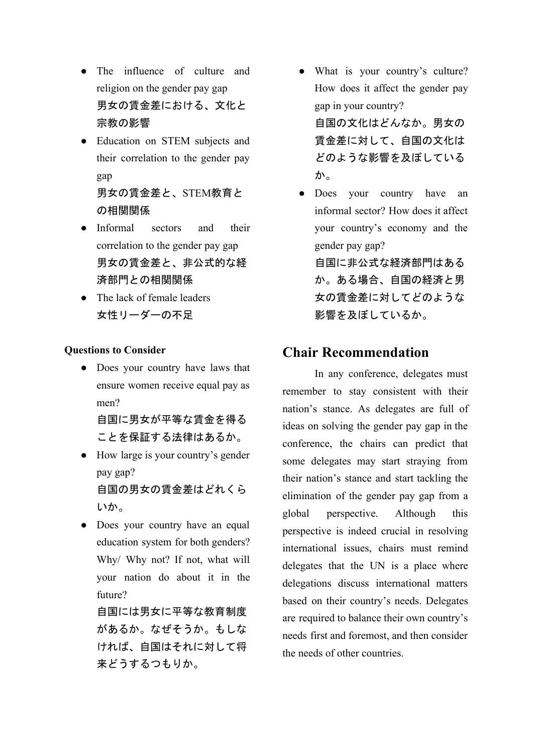- The influence of culture and religion on the gender pay gap 男女の賃金差における、文化と 宗教の影響
- Education on STEM subjects and their correlation to the gender pay gap

男女の賃金差と、STEM教育と の相関関係

- Informal sectors and their correlation to the gender pay gap 男女の賃金差と、非公式的な経 済部門との相関関係
- The lack of female leaders 女性リーダーの不足

## **Questions to Consider**

• Does your country have laws that ensure women receive equal pay as men?

自国に男女が平等な賃金を得る ことを保証する法律はあるか。

- How large is your country's gender pay gap? 自国の男女の賃金差はどれくら いか。
- Does your country have an equal education system for both genders? Why/ Why not? If not, what will your nation do about it in the future?

自国には男女に平等な教育制度 があるか。なぜそうか。もしな ければ、自国はそれに対して将 来どうするつもりか。

- What is your country's culture? How does it affect the gender pay gap in your country? 自国の文化はどんなか。男女の 賃金差に対して、自国の文化は どのような影響を及ぼしている か。
- Does your country have an informal sector? How does it affect your country's economy and the gender pay gap?

自国に非公式な経済部門はある か。ある場合、自国の経済と男 女の賃金差に対してどのような 影響を及ぼしているか。

# **Chair Recommendation**

In any conference, delegates must remember to stay consistent with their nation's stance. As delegates are full of ideas on solving the gender pay gap in the conference, the chairs can predict that some delegates may start straying from their nation's stance and start tackling the elimination of the gender pay gap from a global perspective. Although this perspective is indeed crucial in resolving international issues, chairs must remind delegates that the UN is a place where delegations discuss international matters based on their country's needs. Delegates are required to balance their own country's needs first and foremost, and then consider the needs of other countries.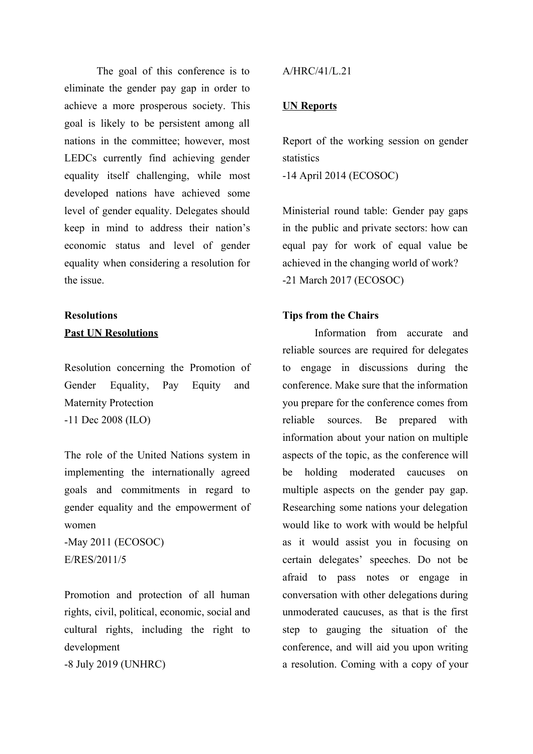The goal of this conference is to eliminate the gender pay gap in order to achieve a more prosperous society. This goal is likely to be persistent among all nations in the committee; however, most LEDCs currently find achieving gender equality itself challenging, while most developed nations have achieved some level of gender equality. Delegates should keep in mind to address their nation's economic status and level of gender equality when considering a resolution for the issue.

# **Resolutions Past UN Resolutions**

Resolution concerning the Promotion of Gender Equality, Pay Equity and Maternity Protection -11 Dec 2008 (ILO)

The role of the United Nations system in implementing the internationally agreed goals and commitments in regard to gender equality and the empowerment of women

-May 2011 (ECOSOC) E/RES/2011/5

Promotion and protection of all human rights, civil, political, economic, social and cultural rights, including the right to development

-8 July 2019 (UNHRC)

## A/HRC/41/L.21

#### **UN Reports**

Report of the working session on gender statistics

-14 April 2014 (ECOSOC)

Ministerial round table: Gender pay gaps in the public and private sectors: how can equal pay for work of equal value be achieved in the changing world of work? -21 March 2017 (ECOSOC)

## **Tips from the Chairs**

Information from accurate and reliable sources are required for delegates to engage in discussions during the conference. Make sure that the information you prepare for the conference comes from reliable sources. Be prepared with information about your nation on multiple aspects of the topic, as the conference will be holding moderated caucuses on multiple aspects on the gender pay gap. Researching some nations your delegation would like to work with would be helpful as it would assist you in focusing on certain delegates' speeches. Do not be afraid to pass notes or engage in conversation with other delegations during unmoderated caucuses, as that is the first step to gauging the situation of the conference, and will aid you upon writing a resolution. Coming with a copy of your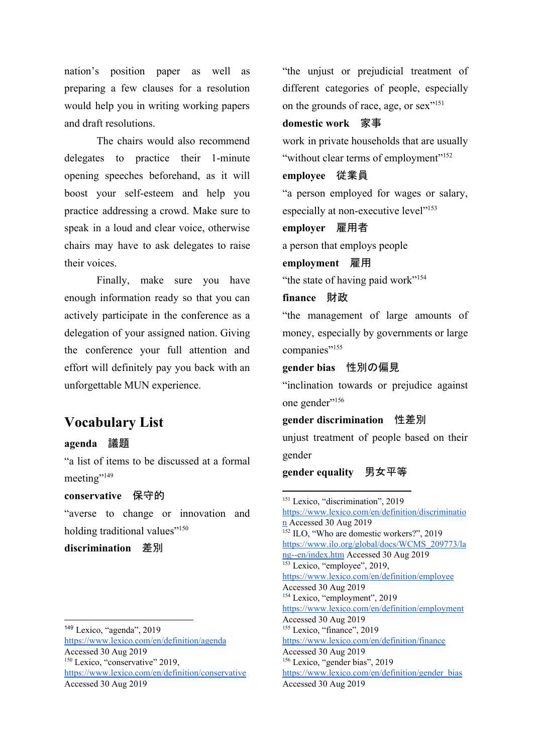nation's position paper as well as preparing a few clauses for a resolution would help you in writing working papers and draft resolutions.

The chairs would also recommend delegates to practice their 1-minute opening speeches beforehand, as it will boost your self-esteem and help you practice addressing a crowd. Make sure to speak in a loud and clear voice, otherwise chairs may have to ask delegates to raise their voices.

Finally, make sure you have enough information ready so that you can actively participate in the conference as a delegation of your assigned nation. Giving the conference your full attention and effort will definitely pay you back with an unforgettable MUN experience.

# **Vocabulary List**

## **agenda** 議題

"a list of items to be discussed at a formal meeting"<sup>149</sup>

### **conservative** 保守的

"averse to change or innovation and holding traditional values"<sup>150</sup>

**discrimination** 差別

<https://www.lexico.com/en/definition/agenda> Accessed 30 Aug 2019 <sup>150</sup> Lexico, "conservative" 2019, <https://www.lexico.com/en/definition/conservative> Accessed 30 Aug 2019

"the unjust or prejudicial treatment of different categories of people, especially on the grounds of race, age, or sex"<sup>151</sup>

## **domestic work** 家事

work in private households that are usually "without clear terms of employment"<sup>152</sup>

#### **employee** 従業員

"a person employed for wages or salary, especially at non-executive level"<sup>153</sup>

#### **employer** 雇用者

a person that employs people

## **employment** 雇用

"the state of having paid work"<sup>154</sup>

## **finance** 財政

"the management of large amounts of money, especially by governments or large companies"<sup>155</sup>

## **gender bias** 性別の偏見

"inclination towards or prejudice against one gender"<sup>156</sup>

#### **gender discrimination** 性差別

unjust treatment of people based on their gender

## **gender equality** 男女平等

<sup>149</sup> Lexico, "agenda", 2019

<sup>&</sup>lt;sup>151</sup> Lexico, "discrimination", 2019 [https://www.lexico.com/en/definition/discriminatio](https://www.lexico.com/en/definition/discrimination) [n](https://www.lexico.com/en/definition/discrimination) Accessed 30 Aug 2019 <sup>152</sup> ILO, "Who are domestic workers?", 2019 [https://www.ilo.org/global/docs/WCMS\\_209773/la](https://www.ilo.org/global/docs/WCMS_209773/lang--en/index.htm) [ng--en/index.htm](https://www.ilo.org/global/docs/WCMS_209773/lang--en/index.htm) Accessed 30 Aug 2019 <sup>153</sup> Lexico, "employee", 2019, <https://www.lexico.com/en/definition/employee> Accessed 30 Aug 2019 <sup>154</sup> Lexico, "employment", 2019 <https://www.lexico.com/en/definition/employment> Accessed 30 Aug 2019 <sup>155</sup> Lexico, "finance", 2019 <https://www.lexico.com/en/definition/finance> Accessed 30 Aug 2019 <sup>156</sup> Lexico, "gender bias", 2019 [https://www.lexico.com/en/definition/gender\\_bias](https://www.lexico.com/en/definition/gender_bias) Accessed 30 Aug 2019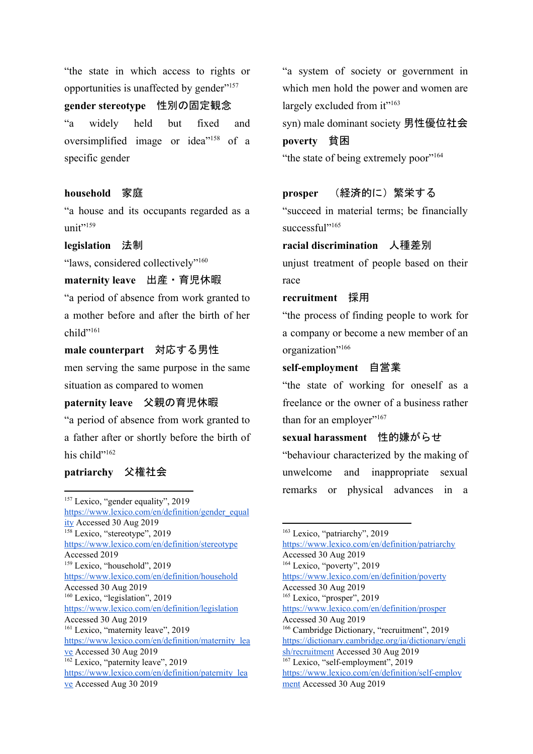"the state in which access to rights or opportunities is unaffected by gender"<sup>157</sup>

**gender stereotype** 性別の固定観念

"a widely held but fixed and oversimplified image or idea<sup>" 158</sup> of a specific gender

## **household** 家庭

"a house and its occupants regarded as a  $unit"$ <sup>159</sup>

**legislation** 法制

"laws, considered collectively"<sup>160</sup>

## **maternity leave** 出産・育児休暇

"a period of absence from work granted to a mother before and after the birth of her child"<sup>161</sup>

**male counterpart** 対応する男性 men serving the same purpose in the same

situation as compared to women

## **paternity leave** 父親の育児休暇

"a period of absence from work granted to a father after or shortly before the birth of his child"<sup>162</sup>

#### **patriarchy** 父権社会

<sup>157</sup> Lexico, "gender equality", 2019 [https://www.lexico.com/en/definition/gender\\_equal](https://www.lexico.com/en/definition/gender_equality) [ity](https://www.lexico.com/en/definition/gender_equality) Accessed 30 Aug 2019 <sup>158</sup> Lexico, "stereotype", 2019 <https://www.lexico.com/en/definition/stereotype> Accessed 2019 <sup>159</sup> Lexico, "household", 2019 <https://www.lexico.com/en/definition/household> Accessed 30 Aug 2019 <sup>160</sup> Lexico, "legislation", 2019 <https://www.lexico.com/en/definition/legislation> Accessed 30 Aug 2019 <sup>161</sup> Lexico, "maternity leave", 2019 [https://www.lexico.com/en/definition/maternity\\_lea](https://www.lexico.com/en/definition/maternity_leave) [ve](https://www.lexico.com/en/definition/maternity_leave) Accessed 30 Aug 2019 <sup>162</sup> Lexico, "paternity leave", 2019 [https://www.lexico.com/en/definition/paternity\\_lea](https://www.lexico.com/en/definition/paternity_leave) [ve](https://www.lexico.com/en/definition/paternity_leave) Accessed Aug 30 2019

"a system of society or government in which men hold the power and women are largely excluded from it"<sup>163</sup>

syn) male dominant society 男性優位社会

## **poverty** 貧困

"the state of being extremely poor"<sup>164</sup>

#### **prosper** (経済的に)繁栄する

"succeed in material terms; be financially successful"<sup>165</sup>

## **racial discrimination** 人種差別

unjust treatment of people based on their race

## **recruitment** 採用

"the process of finding people to work for a company or become a new member of an organization"<sup>166</sup>

## **self-employment** 自営業

"the state of working for oneself as a freelance or the owner of a business rather than for an employer"167

## **sexual harassment** 性的嫌がらせ

"behaviour characterized by the making of unwelcome and inappropriate sexual remarks or physical advances in a

<sup>&</sup>lt;sup>163</sup> Lexico, "patriarchy", 2019 <https://www.lexico.com/en/definition/patriarchy> Accessed 30 Aug 2019 <sup>164</sup> Lexico, "poverty", 2019 <https://www.lexico.com/en/definition/poverty> Accessed 30 Aug 2019 <sup>165</sup> Lexico, "prosper", 2019 <https://www.lexico.com/en/definition/prosper> Accessed 30 Aug 2019 <sup>166</sup> Cambridge Dictionary, "recruitment", 2019 [https://dictionary.cambridge.org/ja/dictionary/engli](https://dictionary.cambridge.org/ja/dictionary/english/recruitment) [sh/recruitment](https://dictionary.cambridge.org/ja/dictionary/english/recruitment) Accessed 30 Aug 2019 <sup>167</sup> Lexico, "self-employment", 2019 [https://www.lexico.com/en/definition/self-employ](https://www.lexico.com/en/definition/self-employment) [ment](https://www.lexico.com/en/definition/self-employment) Accessed 30 Aug 2019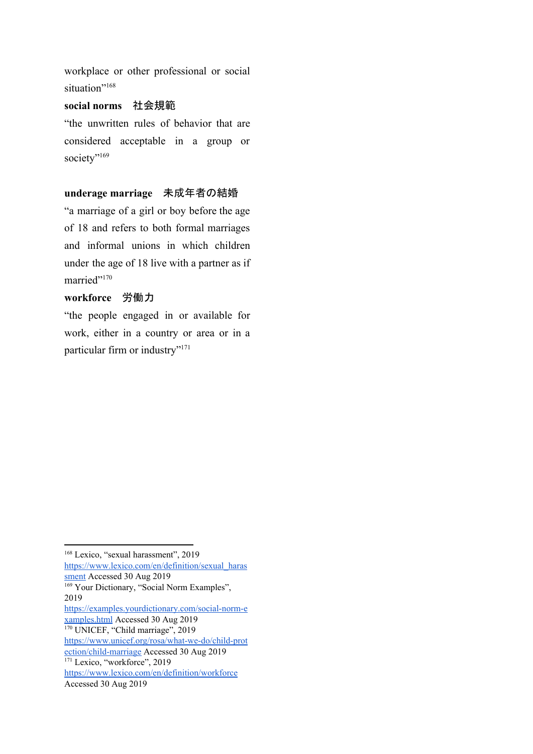workplace or other professional or social situation"<sup>168</sup>

## **social norms** 社会規範

"the unwritten rules of behavior that are considered acceptable in a group or society"<sup>169</sup>

## **underage marriage** 未成年者の結婚

"a marriage of a girl or boy before the age of 18 and refers to both formal marriages and informal unions in which children under the age of 18 live with a partner as if married"<sup>170</sup>

## **workforce** 労働力

"the people engaged in or available for work, either in a country or area or in a particular firm or industry"<sup>171</sup>

<sup>&</sup>lt;sup>168</sup> Lexico, "sexual harassment", 2019 [https://www.lexico.com/en/definition/sexual\\_haras](https://www.lexico.com/en/definition/sexual_harassment) [sment](https://www.lexico.com/en/definition/sexual_harassment) Accessed 30 Aug 2019 <sup>169</sup> Your Dictionary, "Social Norm Examples", 2019 [https://examples.yourdictionary.com/social-norm-e](https://examples.yourdictionary.com/social-norm-examples.html) [xamples.html](https://examples.yourdictionary.com/social-norm-examples.html) Accessed 30 Aug 2019 <sup>170</sup> UNICEF, "Child marriage", 2019

[https://www.unicef.org/rosa/what-we-do/child-prot](https://www.unicef.org/rosa/what-we-do/child-protection/child-marriage)

[ection/child-marriage](https://www.unicef.org/rosa/what-we-do/child-protection/child-marriage) Accessed 30 Aug 2019 <sup>171</sup> Lexico, "workforce", 2019

<https://www.lexico.com/en/definition/workforce>

Accessed 30 Aug 2019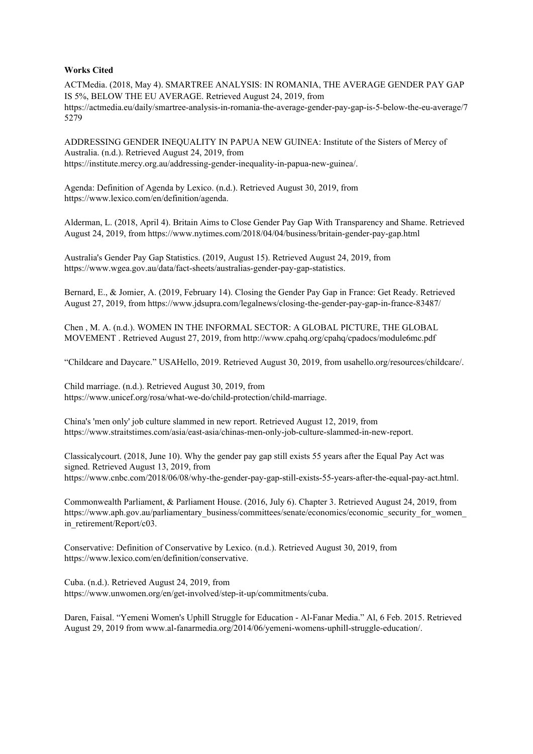#### **Works Cited**

ACTMedia. (2018, May 4). SMARTREE ANALYSIS: IN ROMANIA, THE AVERAGE GENDER PAY GAP IS 5%, BELOW THE EU AVERAGE. Retrieved August 24, 2019, from https://actmedia.eu/daily/smartree-analysis-in-romania-the-average-gender-pay-gap-is-5-below-the-eu-average/7 5279

ADDRESSING GENDER INEQUALITY IN PAPUA NEW GUINEA: Institute of the Sisters of Mercy of Australia. (n.d.). Retrieved August 24, 2019, from https://institute.mercy.org.au/addressing-gender-inequality-in-papua-new-guinea/.

Agenda: Definition of Agenda by Lexico. (n.d.). Retrieved August 30, 2019, from https://www.lexico.com/en/definition/agenda.

Alderman, L. (2018, April 4). Britain Aims to Close Gender Pay Gap With Transparency and Shame. Retrieved August 24, 2019, from https://www.nytimes.com/2018/04/04/business/britain-gender-pay-gap.html

Australia's Gender Pay Gap Statistics. (2019, August 15). Retrieved August 24, 2019, from https://www.wgea.gov.au/data/fact-sheets/australias-gender-pay-gap-statistics.

Bernard, E., & Jomier, A. (2019, February 14). Closing the Gender Pay Gap in France: Get Ready. Retrieved August 27, 2019, from <https://www.jdsupra.com/legalnews/closing-the-gender-pay-gap-in-france-83487/>

Chen , M. A. (n.d.). WOMEN IN THE INFORMAL SECTOR: A GLOBAL PICTURE, THE GLOBAL MOVEMENT . Retrieved August 27, 2019, from http://www.cpahq.org/cpahq/cpadocs/module6mc.pdf

"Childcare and Daycare." USAHello, 2019. Retrieved August 30, 2019, from usahello.org/resources/childcare/.

Child marriage. (n.d.). Retrieved August 30, 2019, from https://www.unicef.org/rosa/what-we-do/child-protection/child-marriage.

China's 'men only' job culture slammed in new report. Retrieved August 12, 2019, from https://www.straitstimes.com/asia/east-asia/chinas-men-only-job-culture-slammed-in-new-report.

Classicalycourt. (2018, June 10). Why the gender pay gap still exists 55 years after the Equal Pay Act was signed. Retrieved August 13, 2019, from https://www.cnbc.com/2018/06/08/why-the-gender-pay-gap-still-exists-55-years-after-the-equal-pay-act.html.

Commonwealth Parliament, & Parliament House. (2016, July 6). Chapter 3. Retrieved August 24, 2019, from https://www.aph.gov.au/parliamentary\_business/committees/senate/economics/economic\_security\_for\_women in\_retirement/Report/c03.

Conservative: Definition of Conservative by Lexico. (n.d.). Retrieved August 30, 2019, from https://www.lexico.com/en/definition/conservative.

Cuba. (n.d.). Retrieved August 24, 2019, from https://www.unwomen.org/en/get-involved/step-it-up/commitments/cuba.

Daren, Faisal. "Yemeni Women's Uphill Struggle for Education - Al-Fanar Media." Al, 6 Feb. 2015. Retrieved August 29, 2019 from www.al-fanarmedia.org/2014/06/yemeni-womens-uphill-struggle-education/.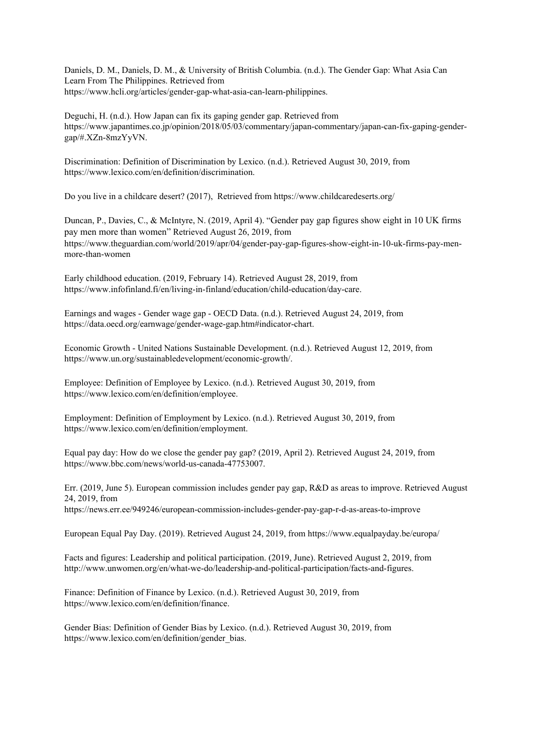Daniels, D. M., Daniels, D. M., & University of British Columbia. (n.d.). The Gender Gap: What Asia Can Learn From The Philippines. Retrieved from https://www.hcli.org/articles/gender-gap-what-asia-can-learn-philippines.

Deguchi, H. (n.d.). How Japan can fix its gaping gender gap. Retrieved from https://www.japantimes.co.jp/opinion/2018/05/03/commentary/japan-commentary/japan-can-fix-gaping-gendergap/#.XZn-8mzYyVN.

Discrimination: Definition of Discrimination by Lexico. (n.d.). Retrieved August 30, 2019, from https://www.lexico.com/en/definition/discrimination.

Do you live in a childcare desert? (2017), Retrieved from https://www.childcaredeserts.org/

Duncan, P., Davies, C., & McIntyre, N. (2019, April 4). "Gender pay gap figures show eight in 10 UK firms pay men more than women" Retrieved August 26, 2019, from https://www.theguardian.com/world/2019/apr/04/gender-pay-gap-figures-show-eight-in-10-uk-firms-pay-menmore-than-women

Early childhood education. (2019, February 14). Retrieved August 28, 2019, from https://www.infofinland.fi/en/living-in-finland/education/child-education/day-care.

Earnings and wages - Gender wage gap - OECD Data. (n.d.). Retrieved August 24, 2019, from https://data.oecd.org/earnwage/gender-wage-gap.htm#indicator-chart.

Economic Growth - United Nations Sustainable Development. (n.d.). Retrieved August 12, 2019, from https://www.un.org/sustainabledevelopment/economic-growth/.

Employee: Definition of Employee by Lexico. (n.d.). Retrieved August 30, 2019, from https://www.lexico.com/en/definition/employee.

Employment: Definition of Employment by Lexico. (n.d.). Retrieved August 30, 2019, from https://www.lexico.com/en/definition/employment.

Equal pay day: How do we close the gender pay gap? (2019, April 2). Retrieved August 24, 2019, from https://www.bbc.com/news/world-us-canada-47753007.

Err. (2019, June 5). European commission includes gender pay gap, R&D as areas to improve. Retrieved August 24, 2019, from https://news.err.ee/949246/european-commission-includes-gender-pay-gap-r-d-as-areas-to-improve

European Equal Pay Day. (2019). Retrieved August 24, 2019, from <https://www.equalpayday.be/europa/>

Facts and figures: Leadership and political participation. (2019, June). Retrieved August 2, 2019, from http://www.unwomen.org/en/what-we-do/leadership-and-political-participation/facts-and-figures.

Finance: Definition of Finance by Lexico. (n.d.). Retrieved August 30, 2019, from https://www.lexico.com/en/definition/finance.

Gender Bias: Definition of Gender Bias by Lexico. (n.d.). Retrieved August 30, 2019, from https://www.lexico.com/en/definition/gender\_bias.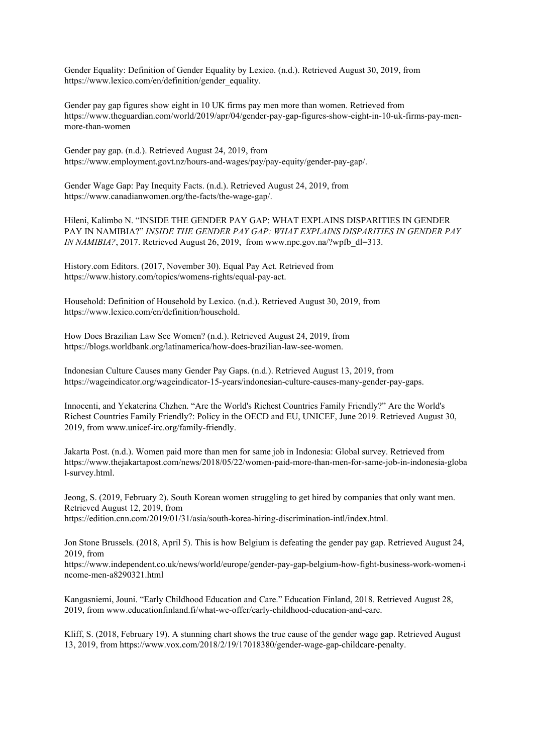Gender Equality: Definition of Gender Equality by Lexico. (n.d.). Retrieved August 30, 2019, from https://www.lexico.com/en/definition/gender\_equality.

Gender pay gap figures show eight in 10 UK firms pay men more than women. Retrieved from https://www.theguardian.com/world/2019/apr/04/gender-pay-gap-figures-show-eight-in-10-uk-firms-pay-menmore-than-women

Gender pay gap. (n.d.). Retrieved August 24, 2019, from https://www.employment.govt.nz/hours-and-wages/pay/pay-equity/gender-pay-gap/.

Gender Wage Gap: Pay Inequity Facts. (n.d.). Retrieved August 24, 2019, from https://www.canadianwomen.org/the-facts/the-wage-gap/.

Hileni, Kalimbo N. "INSIDE THE GENDER PAY GAP: WHAT EXPLAINS DISPARITIES IN GENDER PAY IN NAMIBIA?" *INSIDE THE GENDER PAY GAP: WHAT EXPLAINS DISPARITIES IN GENDER PAY IN NAMIBIA?*, 2017. Retrieved August 26, 2019, from www.npc.gov.na/?wpfb\_dl=313.

History.com Editors. (2017, November 30). Equal Pay Act. Retrieved from https://www.history.com/topics/womens-rights/equal-pay-act.

Household: Definition of Household by Lexico. (n.d.). Retrieved August 30, 2019, from https://www.lexico.com/en/definition/household.

How Does Brazilian Law See Women? (n.d.). Retrieved August 24, 2019, from https://blogs.worldbank.org/latinamerica/how-does-brazilian-law-see-women.

Indonesian Culture Causes many Gender Pay Gaps. (n.d.). Retrieved August 13, 2019, from https://wageindicator.org/wageindicator-15-years/indonesian-culture-causes-many-gender-pay-gaps.

Innocenti, and Yekaterina Chzhen. "Are the World's Richest Countries Family Friendly?" Are the World's Richest Countries Family Friendly?: Policy in the OECD and EU, UNICEF, June 2019. Retrieved August 30, 2019, from www.unicef-irc.org/family-friendly.

Jakarta Post. (n.d.). Women paid more than men for same job in Indonesia: Global survey. Retrieved from https://www.thejakartapost.com/news/2018/05/22/women-paid-more-than-men-for-same-job-in-indonesia-globa l-survey.html.

Jeong, S. (2019, February 2). South Korean women struggling to get hired by companies that only want men. Retrieved August 12, 2019, from https://edition.cnn.com/2019/01/31/asia/south-korea-hiring-discrimination-intl/index.html.

Jon Stone Brussels. (2018, April 5). This is how Belgium is defeating the gender pay gap. Retrieved August 24, 2019, from

https://www.independent.co.uk/news/world/europe/gender-pay-gap-belgium-how-fight-business-work-women-i ncome-men-a8290321.html

Kangasniemi, Jouni. "Early Childhood Education and Care." Education Finland, 2018. Retrieved August 28, 2019, from www.educationfinland.fi/what-we-offer/early-childhood-education-and-care.

Kliff, S. (2018, February 19). A stunning chart shows the true cause of the gender wage gap. Retrieved August 13, 2019, from https://www.vox.com/2018/2/19/17018380/gender-wage-gap-childcare-penalty.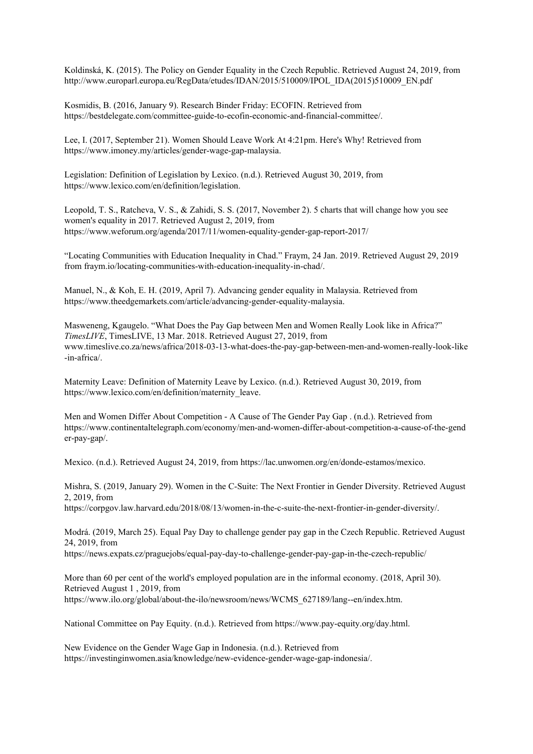Koldinská, K. (2015). The Policy on Gender Equality in the Czech Republic. Retrieved August 24, 2019, from http://www.europarl.europa.eu/RegData/etudes/IDAN/2015/510009/IPOL\_IDA(2015)510009\_EN.pdf

Kosmidis, B. (2016, January 9). Research Binder Friday: ECOFIN. Retrieved from https://bestdelegate.com/committee-guide-to-ecofin-economic-and-financial-committee/.

Lee, I. (2017, September 21). Women Should Leave Work At 4:21pm. Here's Why! Retrieved from https://www.imoney.my/articles/gender-wage-gap-malaysia.

Legislation: Definition of Legislation by Lexico. (n.d.). Retrieved August 30, 2019, from https://www.lexico.com/en/definition/legislation.

Leopold, T. S., Ratcheva, V. S., & Zahidi, S. S. (2017, November 2). 5 charts that will change how you see women's equality in 2017. Retrieved August 2, 2019, from https://www.weforum.org/agenda/2017/11/women-equality-gender-gap-report-2017/

"Locating Communities with Education Inequality in Chad." Fraym, 24 Jan. 2019. Retrieved August 29, 2019 from fraym.io/locating-communities-with-education-inequality-in-chad/.

Manuel, N., & Koh, E. H. (2019, April 7). Advancing gender equality in Malaysia. Retrieved from https://www.theedgemarkets.com/article/advancing-gender-equality-malaysia.

Masweneng, Kgaugelo. "What Does the Pay Gap between Men and Women Really Look like in Africa?" *TimesLIVE*, TimesLIVE, 13 Mar. 2018. Retrieved August 27, 2019, from www.timeslive.co.za/news/africa/2018-03-13-what-does-the-pay-gap-between-men-and-women-really-look-like -in-africa/.

Maternity Leave: Definition of Maternity Leave by Lexico. (n.d.). Retrieved August 30, 2019, from https://www.lexico.com/en/definition/maternity\_leave.

Men and Women Differ About Competition - A Cause of The Gender Pay Gap . (n.d.). Retrieved from https://www.continentaltelegraph.com/economy/men-and-women-differ-about-competition-a-cause-of-the-gend er-pay-gap/.

Mexico. (n.d.). Retrieved August 24, 2019, from https://lac.unwomen.org/en/donde-estamos/mexico.

Mishra, S. (2019, January 29). Women in the C-Suite: The Next Frontier in Gender Diversity. Retrieved August 2, 2019, from

https://corpgov.law.harvard.edu/2018/08/13/women-in-the-c-suite-the-next-frontier-in-gender-diversity/.

Modrá. (2019, March 25). Equal Pay Day to challenge gender pay gap in the Czech Republic. Retrieved August 24, 2019, from

https://news.expats.cz/praguejobs/equal-pay-day-to-challenge-gender-pay-gap-in-the-czech-republic/

More than 60 per cent of the world's employed population are in the informal economy. (2018, April 30). Retrieved August 1 , 2019, from https://www.ilo.org/global/about-the-ilo/newsroom/news/WCMS\_627189/lang--en/index.htm.

National Committee on Pay Equity. (n.d.). Retrieved from https://www.pay-equity.org/day.html.

New Evidence on the Gender Wage Gap in Indonesia. (n.d.). Retrieved from https://investinginwomen.asia/knowledge/new-evidence-gender-wage-gap-indonesia/.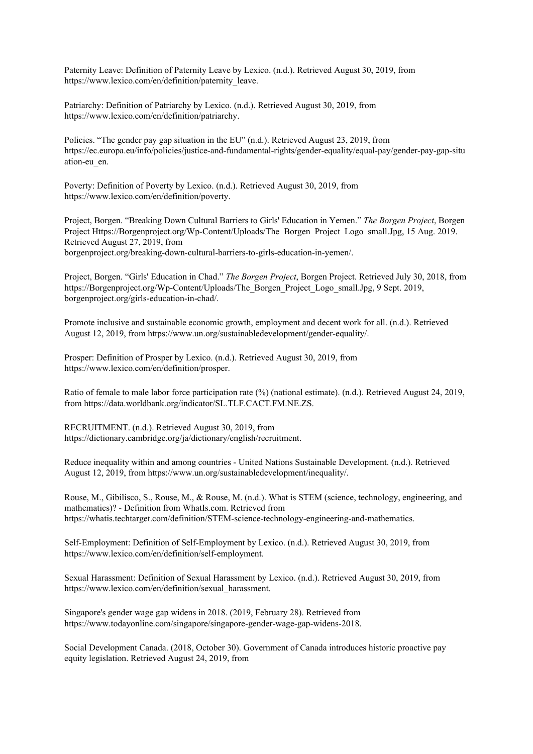Paternity Leave: Definition of Paternity Leave by Lexico. (n.d.). Retrieved August 30, 2019, from https://www.lexico.com/en/definition/paternity\_leave.

Patriarchy: Definition of Patriarchy by Lexico. (n.d.). Retrieved August 30, 2019, from https://www.lexico.com/en/definition/patriarchy.

Policies. "The gender pay gap situation in the EU" (n.d.). Retrieved August 23, 2019, from https://ec.europa.eu/info/policies/justice-and-fundamental-rights/gender-equality/equal-pay/gender-pay-gap-situ ation-eu\_en.

Poverty: Definition of Poverty by Lexico. (n.d.). Retrieved August 30, 2019, from https://www.lexico.com/en/definition/poverty.

Project, Borgen. "Breaking Down Cultural Barriers to Girls' Education in Yemen." *The Borgen Project*, Borgen Project Https://Borgenproject.org/Wp-Content/Uploads/The\_Borgen\_Project\_Logo\_small.Jpg, 15 Aug. 2019. Retrieved August 27, 2019, from

borgenproject.org/breaking-down-cultural-barriers-to-girls-education-in-yemen/.

Project, Borgen. "Girls' Education in Chad." *The Borgen Project*, Borgen Project. Retrieved July 30, 2018, from https://Borgenproject.org/Wp-Content/Uploads/The\_Borgen\_Project\_Logo\_small.Jpg, 9 Sept. 2019, borgenproject.org/girls-education-in-chad/.

Promote inclusive and sustainable economic growth, employment and decent work for all. (n.d.). Retrieved August 12, 2019, from https://www.un.org/sustainabledevelopment/gender-equality/.

Prosper: Definition of Prosper by Lexico. (n.d.). Retrieved August 30, 2019, from https://www.lexico.com/en/definition/prosper.

Ratio of female to male labor force participation rate (%) (national estimate). (n.d.). Retrieved August 24, 2019, from https://data.worldbank.org/indicator/SL.TLF.CACT.FM.NE.ZS.

RECRUITMENT. (n.d.). Retrieved August 30, 2019, from https://dictionary.cambridge.org/ja/dictionary/english/recruitment.

Reduce inequality within and among countries - United Nations Sustainable Development. (n.d.). Retrieved August 12, 2019, from https://www.un.org/sustainabledevelopment/inequality/.

Rouse, M., Gibilisco, S., Rouse, M., & Rouse, M. (n.d.). What is STEM (science, technology, engineering, and mathematics)? - Definition from WhatIs.com. Retrieved from https://whatis.techtarget.com/definition/STEM-science-technology-engineering-and-mathematics.

Self-Employment: Definition of Self-Employment by Lexico. (n.d.). Retrieved August 30, 2019, from https://www.lexico.com/en/definition/self-employment.

Sexual Harassment: Definition of Sexual Harassment by Lexico. (n.d.). Retrieved August 30, 2019, from https://www.lexico.com/en/definition/sexual\_harassment.

Singapore's gender wage gap widens in 2018. (2019, February 28). Retrieved from https://www.todayonline.com/singapore/singapore-gender-wage-gap-widens-2018.

Social Development Canada. (2018, October 30). Government of Canada introduces historic proactive pay equity legislation. Retrieved August 24, 2019, from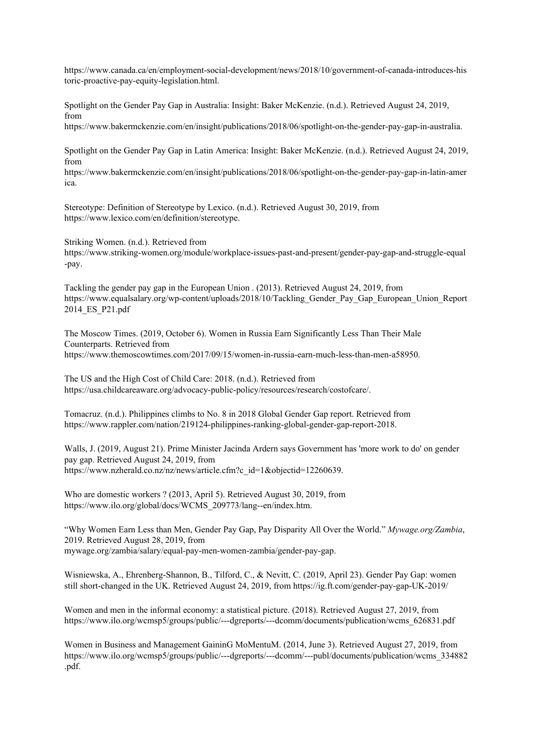https://www.canada.ca/en/employment-social-development/news/2018/10/government-of-canada-introduces-his toric-proactive-pay-equity-legislation.html.

Spotlight on the Gender Pay Gap in Australia: Insight: Baker McKenzie. (n.d.). Retrieved August 24, 2019, from

https://www.bakermckenzie.com/en/insight/publications/2018/06/spotlight-on-the-gender-pay-gap-in-australia.

Spotlight on the Gender Pay Gap in Latin America: Insight: Baker McKenzie. (n.d.). Retrieved August 24, 2019, from

https://www.bakermckenzie.com/en/insight/publications/2018/06/spotlight-on-the-gender-pay-gap-in-latin-amer ica.

Stereotype: Definition of Stereotype by Lexico. (n.d.). Retrieved August 30, 2019, from https://www.lexico.com/en/definition/stereotype.

Striking Women. (n.d.). Retrieved from https://www.striking-women.org/module/workplace-issues-past-and-present/gender-pay-gap-and-struggle-equal -pay.

Tackling the gender pay gap in the European Union . (2013). Retrieved August 24, 2019, from https://www.equalsalary.org/wp-content/uploads/2018/10/Tackling\_Gender\_Pay\_Gap\_European\_Union\_Report 2014\_ES\_P21.pdf

The Moscow Times. (2019, October 6). Women in Russia Earn Significantly Less Than Their Male Counterparts. Retrieved from https://www.themoscowtimes.com/2017/09/15/women-in-russia-earn-much-less-than-men-a58950.

The US and the High Cost of Child Care: 2018. (n.d.). Retrieved from https://usa.childcareaware.org/advocacy-public-policy/resources/research/costofcare/.

Tomacruz. (n.d.). Philippines climbs to No. 8 in 2018 Global Gender Gap report. Retrieved from https://www.rappler.com/nation/219124-philippines-ranking-global-gender-gap-report-2018.

Walls, J. (2019, August 21). Prime Minister Jacinda Ardern says Government has 'more work to do' on gender pay gap. Retrieved August 24, 2019, from https://www.nzherald.co.nz/nz/news/article.cfm?c\_id=1&objectid=12260639.

Who are domestic workers ? (2013, April 5). Retrieved August 30, 2019, from https://www.ilo.org/global/docs/WCMS\_209773/lang--en/index.htm.

"Why Women Earn Less than Men, Gender Pay Gap, Pay Disparity All Over the World." *Mywage.org/Zambia*, 2019. Retrieved August 28, 2019, from mywage.org/zambia/salary/equal-pay-men-women-zambia/gender-pay-gap.

Wisniewska, A., Ehrenberg-Shannon, B., Tilford, C., & Nevitt, C. (2019, April 23). Gender Pay Gap: women still short-changed in the UK. Retrieved August 24, 2019, from https://ig.ft.com/gender-pay-gap-UK-2019/

Women and men in the informal economy: a statistical picture. (2018). Retrieved August 27, 2019, from https://www.ilo.org/wcmsp5/groups/public/---dgreports/---dcomm/documents/publication/wcms\_626831.pdf

Women in Business and Management GaininG MoMentuM. (2014, June 3). Retrieved August 27, 2019, from https://www.ilo.org/wcmsp5/groups/public/---dgreports/---dcomm/---publ/documents/publication/wcms\_334882 .pdf.